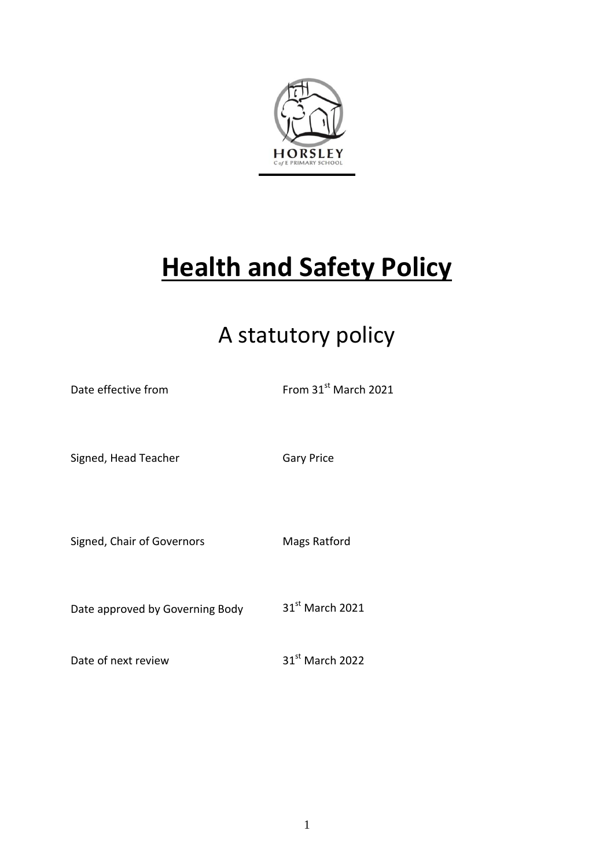

# **Health and Safety Policy**

## A statutory policy

| Date effective from             | From 31 <sup>st</sup> March 2021 |
|---------------------------------|----------------------------------|
| Signed, Head Teacher            | <b>Gary Price</b>                |
| Signed, Chair of Governors      | Mags Ratford                     |
| Date approved by Governing Body | 31 <sup>st</sup> March 2021      |
| Date of next review             | 31st March 2022                  |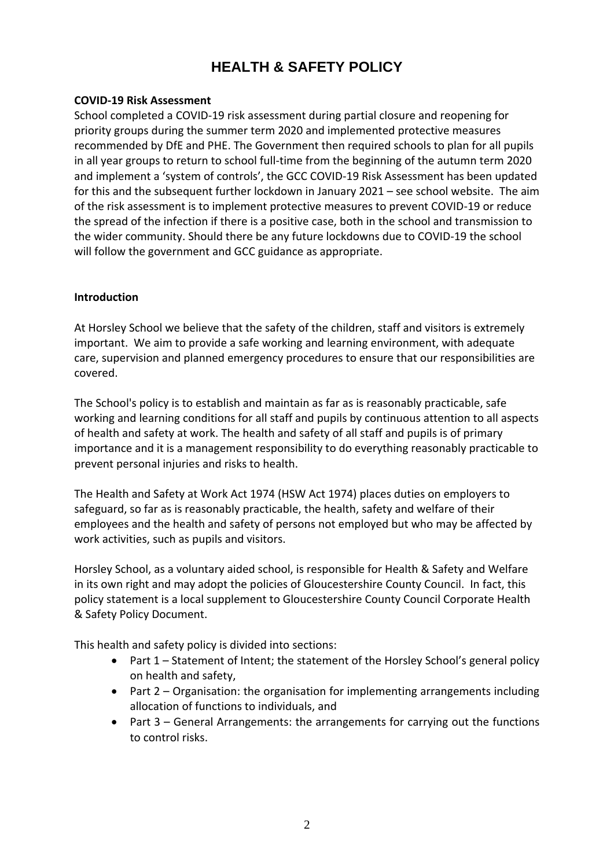## **HEALTH & SAFETY POLICY**

#### **COVID-19 Risk Assessment**

School completed a COVID-19 risk assessment during partial closure and reopening for priority groups during the summer term 2020 and implemented protective measures recommended by DfE and PHE. The Government then required schools to plan for all pupils in all year groups to return to school full-time from the beginning of the autumn term 2020 and implement a 'system of controls', the GCC COVID-19 Risk Assessment has been updated for this and the subsequent further lockdown in January 2021 – see school website. The aim of the risk assessment is to implement protective measures to prevent COVID-19 or reduce the spread of the infection if there is a positive case, both in the school and transmission to the wider community. Should there be any future lockdowns due to COVID-19 the school will follow the government and GCC guidance as appropriate.

#### **Introduction**

At Horsley School we believe that the safety of the children, staff and visitors is extremely important. We aim to provide a safe working and learning environment, with adequate care, supervision and planned emergency procedures to ensure that our responsibilities are covered.

The School's policy is to establish and maintain as far as is reasonably practicable, safe working and learning conditions for all staff and pupils by continuous attention to all aspects of health and safety at work. The health and safety of all staff and pupils is of primary importance and it is a management responsibility to do everything reasonably practicable to prevent personal injuries and risks to health.

The Health and Safety at Work Act 1974 (HSW Act 1974) places duties on employers to safeguard, so far as is reasonably practicable, the health, safety and welfare of their employees and the health and safety of persons not employed but who may be affected by work activities, such as pupils and visitors.

Horsley School, as a voluntary aided school, is responsible for Health & Safety and Welfare in its own right and may adopt the policies of Gloucestershire County Council. In fact, this policy statement is a local supplement to Gloucestershire County Council Corporate Health & Safety Policy Document.

This health and safety policy is divided into sections:

- Part 1 Statement of Intent; the statement of the Horsley School's general policy on health and safety,
- Part 2 Organisation: the organisation for implementing arrangements including allocation of functions to individuals, and
- Part 3 General Arrangements: the arrangements for carrying out the functions to control risks.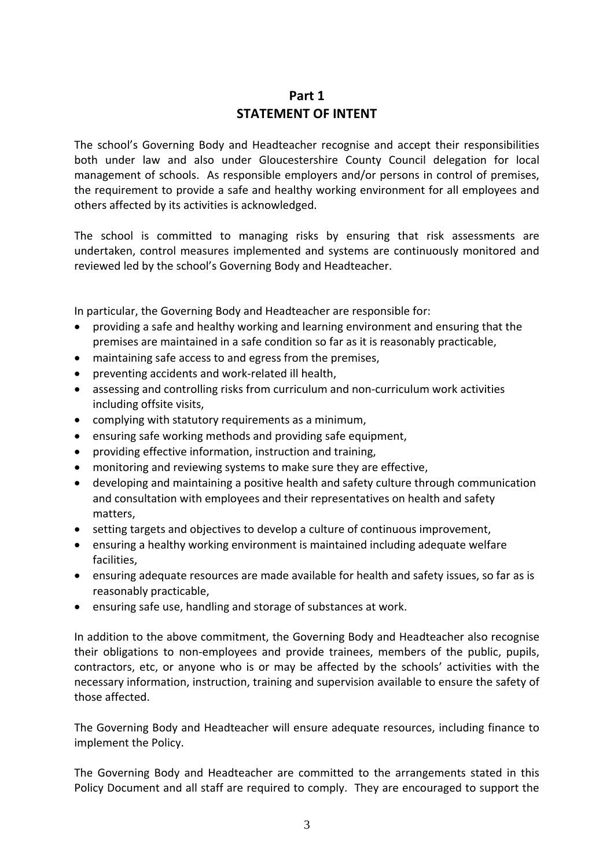## **Part 1 STATEMENT OF INTENT**

The school's Governing Body and Headteacher recognise and accept their responsibilities both under law and also under Gloucestershire County Council delegation for local management of schools. As responsible employers and/or persons in control of premises, the requirement to provide a safe and healthy working environment for all employees and others affected by its activities is acknowledged.

The school is committed to managing risks by ensuring that risk assessments are undertaken, control measures implemented and systems are continuously monitored and reviewed led by the school's Governing Body and Headteacher.

In particular, the Governing Body and Headteacher are responsible for:

- providing a safe and healthy working and learning environment and ensuring that the premises are maintained in a safe condition so far as it is reasonably practicable,
- maintaining safe access to and egress from the premises,
- preventing accidents and work-related ill health,
- assessing and controlling risks from curriculum and non-curriculum work activities including offsite visits,
- complying with statutory requirements as a minimum,
- ensuring safe working methods and providing safe equipment,
- providing effective information, instruction and training,
- monitoring and reviewing systems to make sure they are effective,
- developing and maintaining a positive health and safety culture through communication and consultation with employees and their representatives on health and safety matters,
- setting targets and objectives to develop a culture of continuous improvement,
- ensuring a healthy working environment is maintained including adequate welfare facilities,
- ensuring adequate resources are made available for health and safety issues, so far as is reasonably practicable,
- ensuring safe use, handling and storage of substances at work.

In addition to the above commitment, the Governing Body and Headteacher also recognise their obligations to non-employees and provide trainees, members of the public, pupils, contractors, etc, or anyone who is or may be affected by the schools' activities with the necessary information, instruction, training and supervision available to ensure the safety of those affected.

The Governing Body and Headteacher will ensure adequate resources, including finance to implement the Policy.

The Governing Body and Headteacher are committed to the arrangements stated in this Policy Document and all staff are required to comply. They are encouraged to support the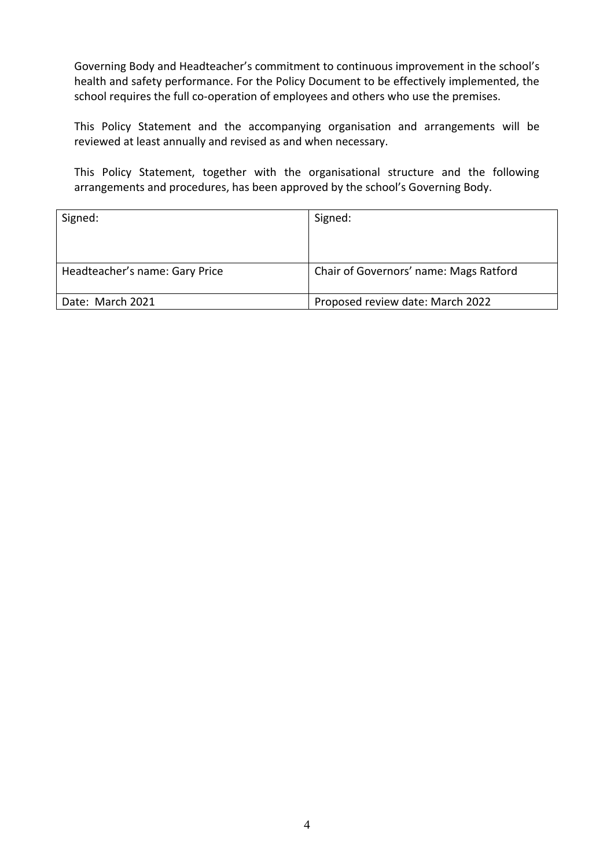Governing Body and Headteacher's commitment to continuous improvement in the school's health and safety performance. For the Policy Document to be effectively implemented, the school requires the full co-operation of employees and others who use the premises.

This Policy Statement and the accompanying organisation and arrangements will be reviewed at least annually and revised as and when necessary.

This Policy Statement, together with the organisational structure and the following arrangements and procedures, has been approved by the school's Governing Body.

| Signed:                        | Signed:                                |
|--------------------------------|----------------------------------------|
|                                |                                        |
|                                |                                        |
| Headteacher's name: Gary Price | Chair of Governors' name: Mags Ratford |
| Date: March 2021               | Proposed review date: March 2022       |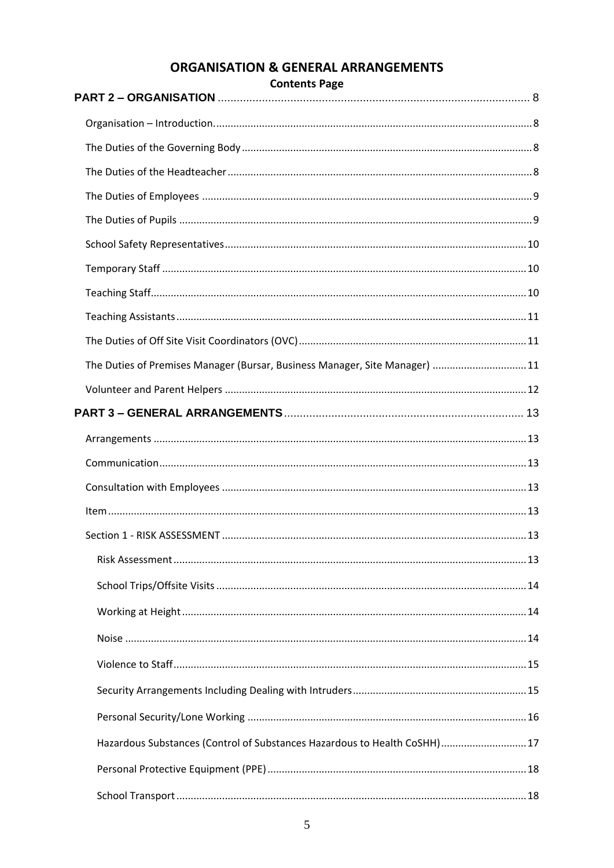| <b>Contents Page</b>                                                       |    |
|----------------------------------------------------------------------------|----|
|                                                                            |    |
|                                                                            |    |
|                                                                            |    |
|                                                                            |    |
|                                                                            |    |
|                                                                            |    |
|                                                                            |    |
|                                                                            |    |
|                                                                            |    |
|                                                                            |    |
| The Duties of Premises Manager (Bursar, Business Manager, Site Manager) 11 |    |
|                                                                            |    |
|                                                                            |    |
|                                                                            |    |
|                                                                            |    |
|                                                                            |    |
|                                                                            |    |
| Section 1 - RISK ASSESSMENT                                                | 13 |
|                                                                            |    |
|                                                                            |    |
|                                                                            |    |
|                                                                            |    |
|                                                                            |    |
|                                                                            |    |
|                                                                            |    |
|                                                                            |    |
| Hazardous Substances (Control of Substances Hazardous to Health CoSHH) 17  |    |
|                                                                            |    |
|                                                                            |    |

## **ORGANISATION & GENERAL ARRANGEMENTS**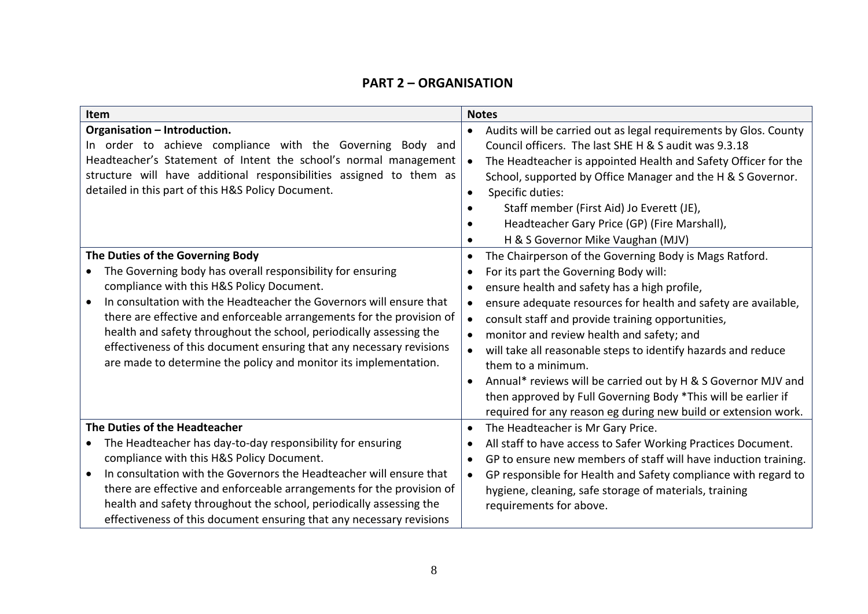### **PART 2 – ORGANISATION**

<span id="page-7-3"></span><span id="page-7-2"></span><span id="page-7-1"></span><span id="page-7-0"></span>

| Item                                                                                                                                                                                                                                                                                                                                                                                                                                                                                                                        | <b>Notes</b>                                                                                                                                                                                                                                                                                                                                                                                                                                                                                                                                                                                                                                                                               |
|-----------------------------------------------------------------------------------------------------------------------------------------------------------------------------------------------------------------------------------------------------------------------------------------------------------------------------------------------------------------------------------------------------------------------------------------------------------------------------------------------------------------------------|--------------------------------------------------------------------------------------------------------------------------------------------------------------------------------------------------------------------------------------------------------------------------------------------------------------------------------------------------------------------------------------------------------------------------------------------------------------------------------------------------------------------------------------------------------------------------------------------------------------------------------------------------------------------------------------------|
| Organisation - Introduction.<br>In order to achieve compliance with the Governing Body and<br>Headteacher's Statement of Intent the school's normal management<br>structure will have additional responsibilities assigned to them as<br>detailed in this part of this H&S Policy Document.                                                                                                                                                                                                                                 | Audits will be carried out as legal requirements by Glos. County<br>Council officers. The last SHE H & S audit was 9.3.18<br>The Headteacher is appointed Health and Safety Officer for the<br>$\bullet$<br>School, supported by Office Manager and the H & S Governor.<br>Specific duties:<br>Staff member (First Aid) Jo Everett (JE),<br>Headteacher Gary Price (GP) (Fire Marshall),                                                                                                                                                                                                                                                                                                   |
| The Duties of the Governing Body<br>The Governing body has overall responsibility for ensuring<br>$\bullet$<br>compliance with this H&S Policy Document.<br>In consultation with the Headteacher the Governors will ensure that<br>there are effective and enforceable arrangements for the provision of<br>health and safety throughout the school, periodically assessing the<br>effectiveness of this document ensuring that any necessary revisions<br>are made to determine the policy and monitor its implementation. | H & S Governor Mike Vaughan (MJV)<br>The Chairperson of the Governing Body is Mags Ratford.<br>For its part the Governing Body will:<br>ensure health and safety has a high profile,<br>ensure adequate resources for health and safety are available,<br>$\bullet$<br>consult staff and provide training opportunities,<br>$\bullet$<br>monitor and review health and safety; and<br>will take all reasonable steps to identify hazards and reduce<br>$\bullet$<br>them to a minimum.<br>Annual* reviews will be carried out by H & S Governor MJV and<br>then approved by Full Governing Body *This will be earlier if<br>required for any reason eg during new build or extension work. |
| The Duties of the Headteacher<br>The Headteacher has day-to-day responsibility for ensuring<br>compliance with this H&S Policy Document.<br>In consultation with the Governors the Headteacher will ensure that<br>$\bullet$<br>there are effective and enforceable arrangements for the provision of<br>health and safety throughout the school, periodically assessing the<br>effectiveness of this document ensuring that any necessary revisions                                                                        | The Headteacher is Mr Gary Price.<br>All staff to have access to Safer Working Practices Document.<br>GP to ensure new members of staff will have induction training.<br>GP responsible for Health and Safety compliance with regard to<br>$\bullet$<br>hygiene, cleaning, safe storage of materials, training<br>requirements for above.                                                                                                                                                                                                                                                                                                                                                  |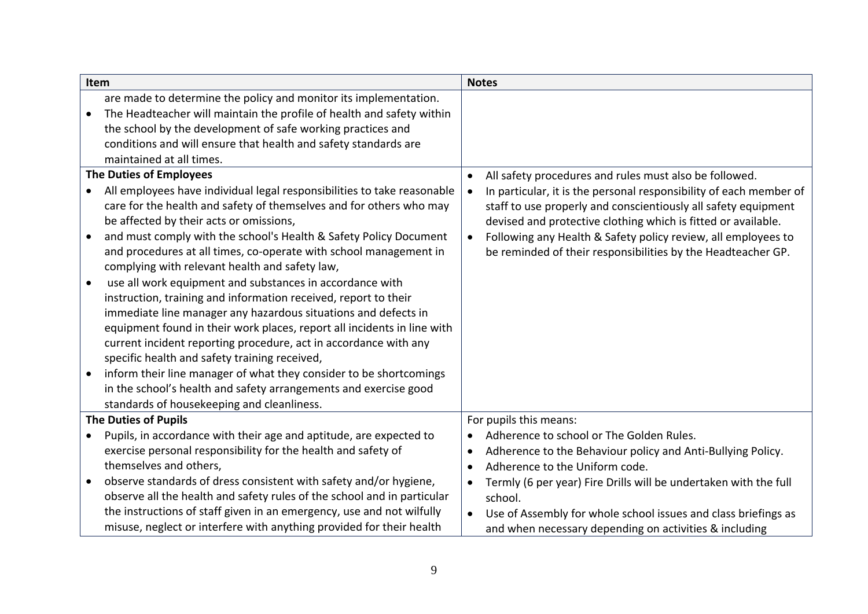<span id="page-8-1"></span><span id="page-8-0"></span>

|           | Item                                                                    |           | <b>Notes</b>                                                       |
|-----------|-------------------------------------------------------------------------|-----------|--------------------------------------------------------------------|
|           | are made to determine the policy and monitor its implementation.        |           |                                                                    |
| $\bullet$ | The Headteacher will maintain the profile of health and safety within   |           |                                                                    |
|           | the school by the development of safe working practices and             |           |                                                                    |
|           | conditions and will ensure that health and safety standards are         |           |                                                                    |
|           | maintained at all times.                                                |           |                                                                    |
|           | <b>The Duties of Employees</b>                                          | $\bullet$ | All safety procedures and rules must also be followed.             |
|           | All employees have individual legal responsibilities to take reasonable |           | In particular, it is the personal responsibility of each member of |
|           | care for the health and safety of themselves and for others who may     |           | staff to use properly and conscientiously all safety equipment     |
|           | be affected by their acts or omissions,                                 |           | devised and protective clothing which is fitted or available.      |
| $\bullet$ | and must comply with the school's Health & Safety Policy Document       | $\bullet$ | Following any Health & Safety policy review, all employees to      |
|           | and procedures at all times, co-operate with school management in       |           | be reminded of their responsibilities by the Headteacher GP.       |
|           | complying with relevant health and safety law,                          |           |                                                                    |
| $\bullet$ | use all work equipment and substances in accordance with                |           |                                                                    |
|           | instruction, training and information received, report to their         |           |                                                                    |
|           | immediate line manager any hazardous situations and defects in          |           |                                                                    |
|           | equipment found in their work places, report all incidents in line with |           |                                                                    |
|           | current incident reporting procedure, act in accordance with any        |           |                                                                    |
|           | specific health and safety training received,                           |           |                                                                    |
| $\bullet$ | inform their line manager of what they consider to be shortcomings      |           |                                                                    |
|           | in the school's health and safety arrangements and exercise good        |           |                                                                    |
|           | standards of housekeeping and cleanliness.                              |           |                                                                    |
|           | <b>The Duties of Pupils</b>                                             |           | For pupils this means:                                             |
| $\bullet$ | Pupils, in accordance with their age and aptitude, are expected to      | $\bullet$ | Adherence to school or The Golden Rules.                           |
|           | exercise personal responsibility for the health and safety of           |           | Adherence to the Behaviour policy and Anti-Bullying Policy.        |
|           | themselves and others,                                                  | $\bullet$ | Adherence to the Uniform code.                                     |
| $\bullet$ | observe standards of dress consistent with safety and/or hygiene,       |           | Termly (6 per year) Fire Drills will be undertaken with the full   |
|           | observe all the health and safety rules of the school and in particular |           | school.                                                            |
|           | the instructions of staff given in an emergency, use and not wilfully   |           | Use of Assembly for whole school issues and class briefings as     |
|           | misuse, neglect or interfere with anything provided for their health    |           | and when necessary depending on activities & including             |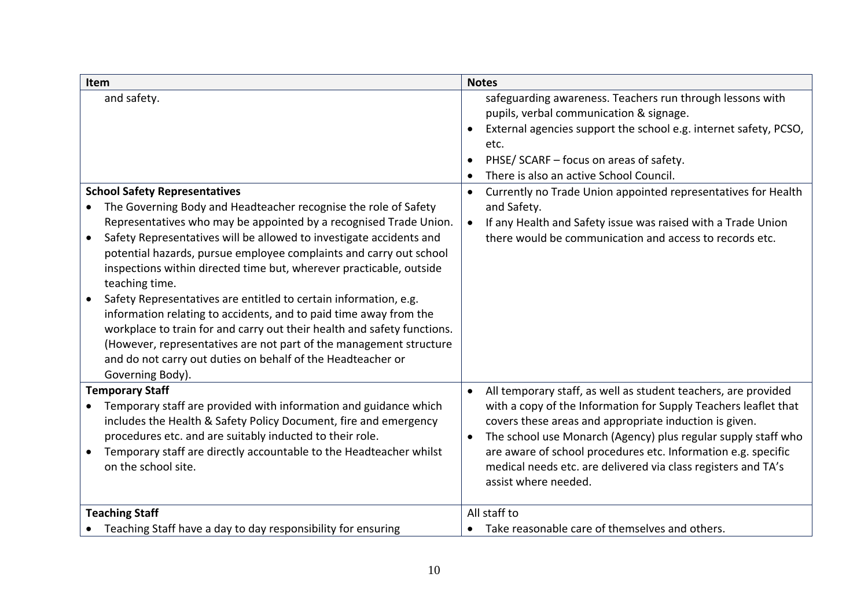<span id="page-9-2"></span><span id="page-9-1"></span><span id="page-9-0"></span>

| <b>Item</b>                                                                                                                                                                                                                                                                                                                                                                                                                                                                                                                                                                                                                                                                                                                                             | <b>Notes</b>                                                                                                                                                                                                                                                                                                                                                                                                                        |
|---------------------------------------------------------------------------------------------------------------------------------------------------------------------------------------------------------------------------------------------------------------------------------------------------------------------------------------------------------------------------------------------------------------------------------------------------------------------------------------------------------------------------------------------------------------------------------------------------------------------------------------------------------------------------------------------------------------------------------------------------------|-------------------------------------------------------------------------------------------------------------------------------------------------------------------------------------------------------------------------------------------------------------------------------------------------------------------------------------------------------------------------------------------------------------------------------------|
| and safety.                                                                                                                                                                                                                                                                                                                                                                                                                                                                                                                                                                                                                                                                                                                                             | safeguarding awareness. Teachers run through lessons with<br>pupils, verbal communication & signage.<br>External agencies support the school e.g. internet safety, PCSO,<br>etc.<br>PHSE/ SCARF - focus on areas of safety.<br>There is also an active School Council.                                                                                                                                                              |
| <b>School Safety Representatives</b>                                                                                                                                                                                                                                                                                                                                                                                                                                                                                                                                                                                                                                                                                                                    | Currently no Trade Union appointed representatives for Health<br>$\bullet$                                                                                                                                                                                                                                                                                                                                                          |
| The Governing Body and Headteacher recognise the role of Safety<br>Representatives who may be appointed by a recognised Trade Union.<br>Safety Representatives will be allowed to investigate accidents and<br>potential hazards, pursue employee complaints and carry out school<br>inspections within directed time but, wherever practicable, outside<br>teaching time.<br>Safety Representatives are entitled to certain information, e.g.<br>information relating to accidents, and to paid time away from the<br>workplace to train for and carry out their health and safety functions.<br>(However, representatives are not part of the management structure<br>and do not carry out duties on behalf of the Headteacher or<br>Governing Body). | and Safety.<br>If any Health and Safety issue was raised with a Trade Union<br>$\bullet$<br>there would be communication and access to records etc.                                                                                                                                                                                                                                                                                 |
| <b>Temporary Staff</b><br>Temporary staff are provided with information and guidance which<br>includes the Health & Safety Policy Document, fire and emergency<br>procedures etc. and are suitably inducted to their role.<br>Temporary staff are directly accountable to the Headteacher whilst<br>on the school site.                                                                                                                                                                                                                                                                                                                                                                                                                                 | All temporary staff, as well as student teachers, are provided<br>$\bullet$<br>with a copy of the Information for Supply Teachers leaflet that<br>covers these areas and appropriate induction is given.<br>The school use Monarch (Agency) plus regular supply staff who<br>are aware of school procedures etc. Information e.g. specific<br>medical needs etc. are delivered via class registers and TA's<br>assist where needed. |
| <b>Teaching Staff</b>                                                                                                                                                                                                                                                                                                                                                                                                                                                                                                                                                                                                                                                                                                                                   | All staff to                                                                                                                                                                                                                                                                                                                                                                                                                        |
| Teaching Staff have a day to day responsibility for ensuring                                                                                                                                                                                                                                                                                                                                                                                                                                                                                                                                                                                                                                                                                            | Take reasonable care of themselves and others.                                                                                                                                                                                                                                                                                                                                                                                      |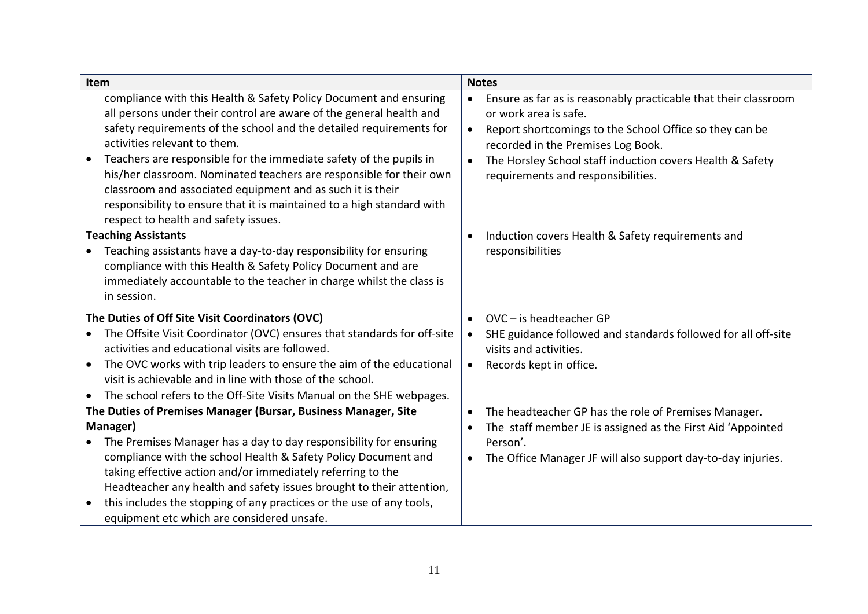<span id="page-10-2"></span><span id="page-10-1"></span><span id="page-10-0"></span>

| Item      |                                                                         |           | <b>Notes</b>                                                    |
|-----------|-------------------------------------------------------------------------|-----------|-----------------------------------------------------------------|
|           | compliance with this Health & Safety Policy Document and ensuring       | $\bullet$ | Ensure as far as is reasonably practicable that their classroom |
|           | all persons under their control are aware of the general health and     |           | or work area is safe.                                           |
|           | safety requirements of the school and the detailed requirements for     | $\bullet$ | Report shortcomings to the School Office so they can be         |
|           | activities relevant to them.                                            |           | recorded in the Premises Log Book.                              |
|           | Teachers are responsible for the immediate safety of the pupils in      | $\bullet$ | The Horsley School staff induction covers Health & Safety       |
|           | his/her classroom. Nominated teachers are responsible for their own     |           | requirements and responsibilities.                              |
|           | classroom and associated equipment and as such it is their              |           |                                                                 |
|           | responsibility to ensure that it is maintained to a high standard with  |           |                                                                 |
|           | respect to health and safety issues.                                    |           |                                                                 |
|           | <b>Teaching Assistants</b>                                              | $\bullet$ | Induction covers Health & Safety requirements and               |
|           | Teaching assistants have a day-to-day responsibility for ensuring       |           | responsibilities                                                |
|           | compliance with this Health & Safety Policy Document and are            |           |                                                                 |
|           | immediately accountable to the teacher in charge whilst the class is    |           |                                                                 |
|           | in session.                                                             |           |                                                                 |
|           | The Duties of Off Site Visit Coordinators (OVC)                         | $\bullet$ | $OVC$ – is headteacher GP                                       |
| $\bullet$ | The Offsite Visit Coordinator (OVC) ensures that standards for off-site |           | SHE guidance followed and standards followed for all off-site   |
|           | activities and educational visits are followed.                         |           | visits and activities.                                          |
| $\bullet$ | The OVC works with trip leaders to ensure the aim of the educational    | $\bullet$ | Records kept in office.                                         |
|           | visit is achievable and in line with those of the school.               |           |                                                                 |
|           | The school refers to the Off-Site Visits Manual on the SHE webpages.    |           |                                                                 |
|           | The Duties of Premises Manager (Bursar, Business Manager, Site          | $\bullet$ | The headteacher GP has the role of Premises Manager.            |
|           | Manager)                                                                |           | The staff member JE is assigned as the First Aid 'Appointed     |
| $\bullet$ | The Premises Manager has a day to day responsibility for ensuring       |           | Person'.                                                        |
|           | compliance with the school Health & Safety Policy Document and          | $\bullet$ | The Office Manager JF will also support day-to-day injuries.    |
|           | taking effective action and/or immediately referring to the             |           |                                                                 |
|           | Headteacher any health and safety issues brought to their attention,    |           |                                                                 |
| $\bullet$ | this includes the stopping of any practices or the use of any tools,    |           |                                                                 |
|           | equipment etc which are considered unsafe.                              |           |                                                                 |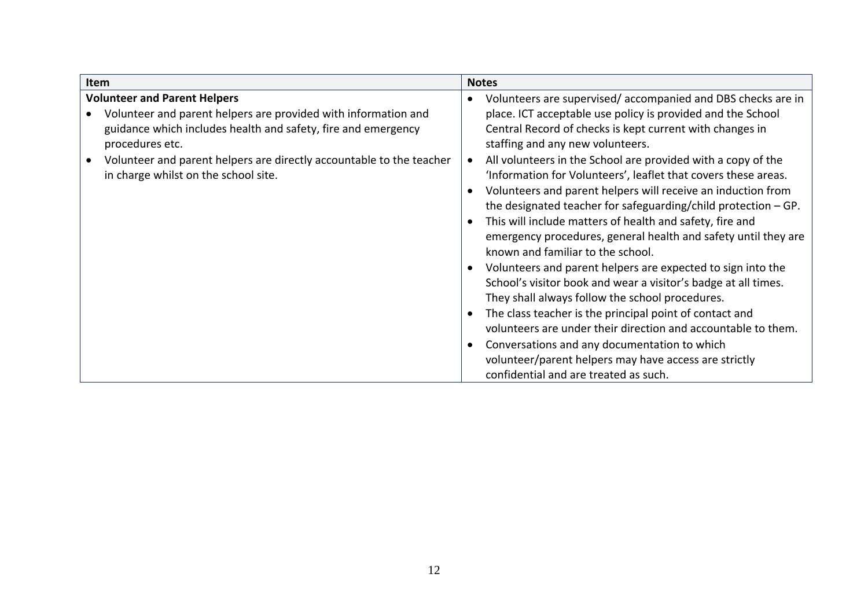<span id="page-11-0"></span>

| Item                                                                             | <b>Notes</b>                                                                                 |
|----------------------------------------------------------------------------------|----------------------------------------------------------------------------------------------|
| <b>Volunteer and Parent Helpers</b>                                              | Volunteers are supervised/accompanied and DBS checks are in                                  |
| Volunteer and parent helpers are provided with information and                   | place. ICT acceptable use policy is provided and the School                                  |
| guidance which includes health and safety, fire and emergency<br>procedures etc. | Central Record of checks is kept current with changes in<br>staffing and any new volunteers. |
| Volunteer and parent helpers are directly accountable to the teacher             | All volunteers in the School are provided with a copy of the                                 |
| in charge whilst on the school site.                                             | 'Information for Volunteers', leaflet that covers these areas.                               |
|                                                                                  | Volunteers and parent helpers will receive an induction from                                 |
|                                                                                  | the designated teacher for safeguarding/child protection $-$ GP.                             |
|                                                                                  | This will include matters of health and safety, fire and                                     |
|                                                                                  | emergency procedures, general health and safety until they are                               |
|                                                                                  | known and familiar to the school.                                                            |
|                                                                                  | Volunteers and parent helpers are expected to sign into the                                  |
|                                                                                  | School's visitor book and wear a visitor's badge at all times.                               |
|                                                                                  | They shall always follow the school procedures.                                              |
|                                                                                  | The class teacher is the principal point of contact and                                      |
|                                                                                  | volunteers are under their direction and accountable to them.                                |
|                                                                                  | Conversations and any documentation to which                                                 |
|                                                                                  | volunteer/parent helpers may have access are strictly                                        |
|                                                                                  | confidential and are treated as such.                                                        |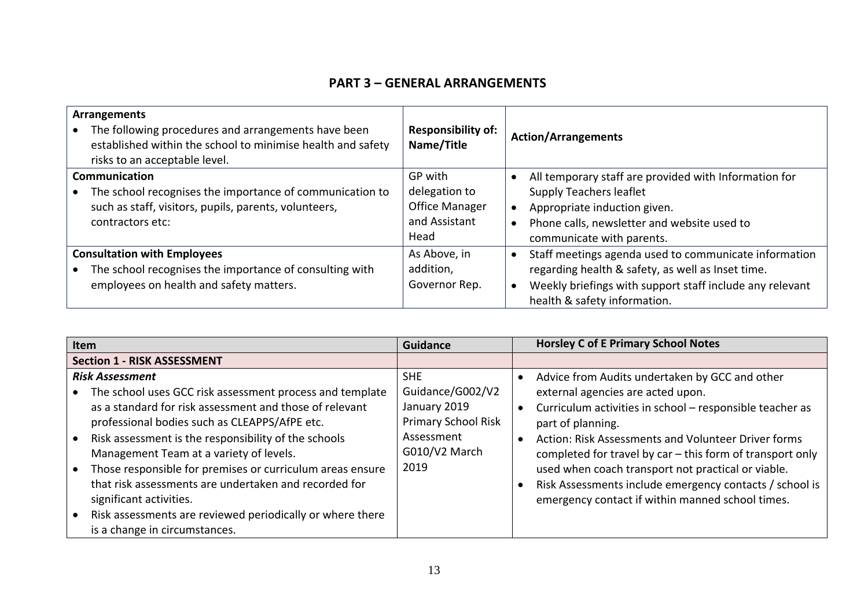## **PART 3 – GENERAL ARRANGEMENTS**

| <b>Arrangements</b><br>The following procedures and arrangements have been<br>established within the school to minimise health and safety<br>risks to an acceptable level. | <b>Responsibility of:</b><br>Name/Title                                    | <b>Action/Arrangements</b>                                                                                                                                                                                          |
|----------------------------------------------------------------------------------------------------------------------------------------------------------------------------|----------------------------------------------------------------------------|---------------------------------------------------------------------------------------------------------------------------------------------------------------------------------------------------------------------|
| Communication<br>The school recognises the importance of communication to<br>such as staff, visitors, pupils, parents, volunteers,<br>contractors etc:                     | GP with<br>delegation to<br><b>Office Manager</b><br>and Assistant<br>Head | All temporary staff are provided with Information for<br><b>Supply Teachers leaflet</b><br>Appropriate induction given.<br>Phone calls, newsletter and website used to<br>communicate with parents.                 |
| <b>Consultation with Employees</b><br>The school recognises the importance of consulting with<br>employees on health and safety matters.                                   | As Above, in<br>addition,<br>Governor Rep.                                 | Staff meetings agenda used to communicate information<br>$\bullet$<br>regarding health & safety, as well as Inset time.<br>Weekly briefings with support staff include any relevant<br>health & safety information. |

<span id="page-12-6"></span><span id="page-12-5"></span><span id="page-12-4"></span><span id="page-12-3"></span><span id="page-12-2"></span><span id="page-12-1"></span><span id="page-12-0"></span>

| Item                                                                                                                                                                                                                                                                                                                                                                                                                                                                                                                                             | <b>Guidance</b>                                                                                                     | <b>Horsley C of E Primary School Notes</b>                                                                                                                                                                                                                                                                                                                                                                                                                    |
|--------------------------------------------------------------------------------------------------------------------------------------------------------------------------------------------------------------------------------------------------------------------------------------------------------------------------------------------------------------------------------------------------------------------------------------------------------------------------------------------------------------------------------------------------|---------------------------------------------------------------------------------------------------------------------|---------------------------------------------------------------------------------------------------------------------------------------------------------------------------------------------------------------------------------------------------------------------------------------------------------------------------------------------------------------------------------------------------------------------------------------------------------------|
| <b>Section 1 - RISK ASSESSMENT</b>                                                                                                                                                                                                                                                                                                                                                                                                                                                                                                               |                                                                                                                     |                                                                                                                                                                                                                                                                                                                                                                                                                                                               |
| <b>Risk Assessment</b><br>The school uses GCC risk assessment process and template<br>as a standard for risk assessment and those of relevant<br>professional bodies such as CLEAPPS/AfPE etc.<br>Risk assessment is the responsibility of the schools<br>Management Team at a variety of levels.<br>Those responsible for premises or curriculum areas ensure<br>that risk assessments are undertaken and recorded for<br>significant activities.<br>Risk assessments are reviewed periodically or where there<br>is a change in circumstances. | <b>SHE</b><br>Guidance/G002/V2<br>January 2019<br><b>Primary School Risk</b><br>Assessment<br>G010/V2 March<br>2019 | Advice from Audits undertaken by GCC and other<br>external agencies are acted upon.<br>Curriculum activities in school - responsible teacher as<br>part of planning.<br>Action: Risk Assessments and Volunteer Driver forms<br>completed for travel by car - this form of transport only<br>used when coach transport not practical or viable.<br>Risk Assessments include emergency contacts / school is<br>emergency contact if within manned school times. |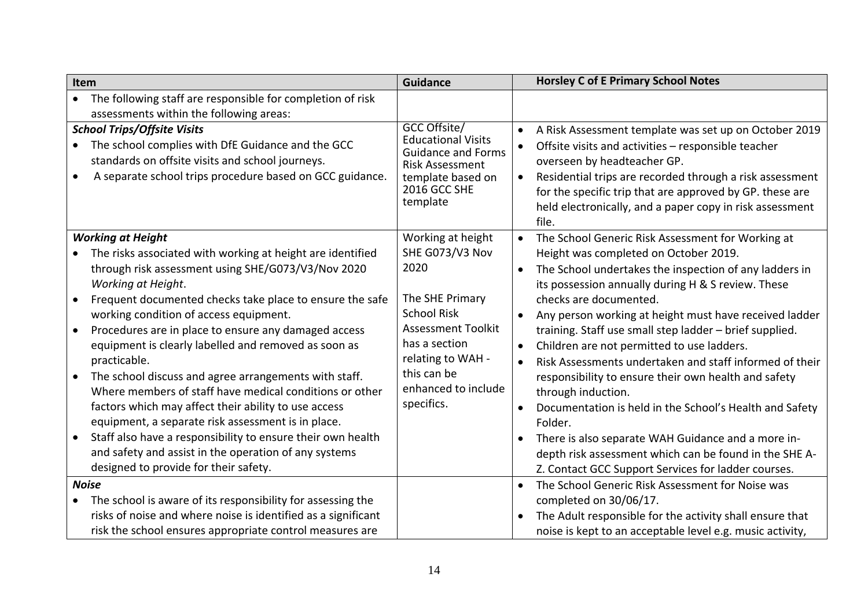<span id="page-13-2"></span><span id="page-13-1"></span><span id="page-13-0"></span>

| Item                                                                                                                                                                                                                 | <b>Guidance</b>                                                                                                                                   | <b>Horsley C of E Primary School Notes</b>                                                                                                                                                                                                                                                                                                                                      |
|----------------------------------------------------------------------------------------------------------------------------------------------------------------------------------------------------------------------|---------------------------------------------------------------------------------------------------------------------------------------------------|---------------------------------------------------------------------------------------------------------------------------------------------------------------------------------------------------------------------------------------------------------------------------------------------------------------------------------------------------------------------------------|
| The following staff are responsible for completion of risk<br>$\bullet$                                                                                                                                              |                                                                                                                                                   |                                                                                                                                                                                                                                                                                                                                                                                 |
| assessments within the following areas:                                                                                                                                                                              |                                                                                                                                                   |                                                                                                                                                                                                                                                                                                                                                                                 |
| <b>School Trips/Offsite Visits</b><br>The school complies with DfE Guidance and the GCC<br>$\bullet$<br>standards on offsite visits and school journeys.<br>A separate school trips procedure based on GCC guidance. | GCC Offsite/<br><b>Educational Visits</b><br><b>Guidance and Forms</b><br><b>Risk Assessment</b><br>template based on<br>2016 GCC SHE<br>template | A Risk Assessment template was set up on October 2019<br>$\bullet$<br>Offsite visits and activities - responsible teacher<br>$\bullet$<br>overseen by headteacher GP.<br>Residential trips are recorded through a risk assessment<br>$\bullet$<br>for the specific trip that are approved by GP. these are<br>held electronically, and a paper copy in risk assessment<br>file. |
| <b>Working at Height</b>                                                                                                                                                                                             | Working at height                                                                                                                                 | The School Generic Risk Assessment for Working at<br>$\bullet$                                                                                                                                                                                                                                                                                                                  |
| The risks associated with working at height are identified                                                                                                                                                           | SHE G073/V3 Nov                                                                                                                                   | Height was completed on October 2019.                                                                                                                                                                                                                                                                                                                                           |
| through risk assessment using SHE/G073/V3/Nov 2020<br>Working at Height.                                                                                                                                             | 2020                                                                                                                                              | The School undertakes the inspection of any ladders in<br>$\bullet$<br>its possession annually during H & S review. These                                                                                                                                                                                                                                                       |
| Frequent documented checks take place to ensure the safe                                                                                                                                                             | The SHE Primary                                                                                                                                   | checks are documented.                                                                                                                                                                                                                                                                                                                                                          |
| working condition of access equipment.                                                                                                                                                                               | <b>School Risk</b>                                                                                                                                | Any person working at height must have received ladder<br>$\bullet$                                                                                                                                                                                                                                                                                                             |
| Procedures are in place to ensure any damaged access<br>$\bullet$                                                                                                                                                    | <b>Assessment Toolkit</b>                                                                                                                         | training. Staff use small step ladder - brief supplied.                                                                                                                                                                                                                                                                                                                         |
| equipment is clearly labelled and removed as soon as                                                                                                                                                                 | has a section                                                                                                                                     | Children are not permitted to use ladders.<br>$\bullet$                                                                                                                                                                                                                                                                                                                         |
| practicable.                                                                                                                                                                                                         | relating to WAH -                                                                                                                                 | Risk Assessments undertaken and staff informed of their<br>$\bullet$                                                                                                                                                                                                                                                                                                            |
| The school discuss and agree arrangements with staff.                                                                                                                                                                | this can be                                                                                                                                       | responsibility to ensure their own health and safety                                                                                                                                                                                                                                                                                                                            |
| Where members of staff have medical conditions or other                                                                                                                                                              | enhanced to include                                                                                                                               | through induction.                                                                                                                                                                                                                                                                                                                                                              |
| factors which may affect their ability to use access                                                                                                                                                                 | specifics.                                                                                                                                        | Documentation is held in the School's Health and Safety<br>$\bullet$                                                                                                                                                                                                                                                                                                            |
| equipment, a separate risk assessment is in place.                                                                                                                                                                   |                                                                                                                                                   | Folder.                                                                                                                                                                                                                                                                                                                                                                         |
| Staff also have a responsibility to ensure their own health                                                                                                                                                          |                                                                                                                                                   | There is also separate WAH Guidance and a more in-<br>$\bullet$                                                                                                                                                                                                                                                                                                                 |
| and safety and assist in the operation of any systems                                                                                                                                                                |                                                                                                                                                   | depth risk assessment which can be found in the SHE A-                                                                                                                                                                                                                                                                                                                          |
| designed to provide for their safety.                                                                                                                                                                                |                                                                                                                                                   | Z. Contact GCC Support Services for ladder courses.                                                                                                                                                                                                                                                                                                                             |
| <b>Noise</b>                                                                                                                                                                                                         |                                                                                                                                                   | The School Generic Risk Assessment for Noise was<br>$\bullet$                                                                                                                                                                                                                                                                                                                   |
| The school is aware of its responsibility for assessing the<br>$\bullet$                                                                                                                                             |                                                                                                                                                   | completed on 30/06/17.                                                                                                                                                                                                                                                                                                                                                          |
| risks of noise and where noise is identified as a significant                                                                                                                                                        |                                                                                                                                                   | The Adult responsible for the activity shall ensure that<br>$\bullet$                                                                                                                                                                                                                                                                                                           |
| risk the school ensures appropriate control measures are                                                                                                                                                             |                                                                                                                                                   | noise is kept to an acceptable level e.g. music activity,                                                                                                                                                                                                                                                                                                                       |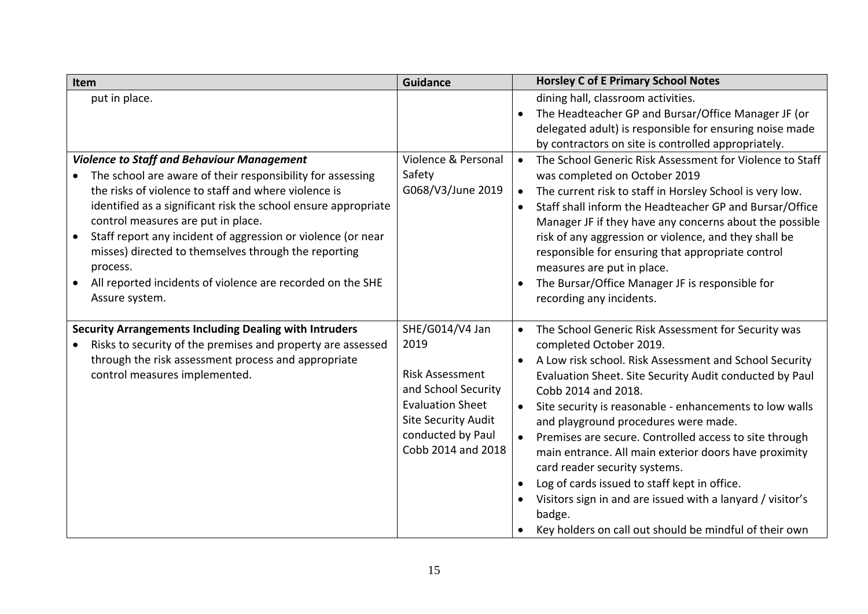<span id="page-14-1"></span><span id="page-14-0"></span>

| Item                                                           | <b>Guidance</b>            |           | <b>Horsley C of E Primary School Notes</b>                 |
|----------------------------------------------------------------|----------------------------|-----------|------------------------------------------------------------|
| put in place.                                                  |                            |           | dining hall, classroom activities.                         |
|                                                                |                            |           | The Headteacher GP and Bursar/Office Manager JF (or        |
|                                                                |                            |           | delegated adult) is responsible for ensuring noise made    |
|                                                                |                            |           | by contractors on site is controlled appropriately.        |
| <b>Violence to Staff and Behaviour Management</b>              | Violence & Personal        |           | The School Generic Risk Assessment for Violence to Staff   |
| The school are aware of their responsibility for assessing     | Safety                     |           | was completed on October 2019                              |
| the risks of violence to staff and where violence is           | G068/V3/June 2019          | $\bullet$ | The current risk to staff in Horsley School is very low.   |
| identified as a significant risk the school ensure appropriate |                            | $\bullet$ | Staff shall inform the Headteacher GP and Bursar/Office    |
| control measures are put in place.                             |                            |           | Manager JF if they have any concerns about the possible    |
| Staff report any incident of aggression or violence (or near   |                            |           | risk of any aggression or violence, and they shall be      |
| misses) directed to themselves through the reporting           |                            |           | responsible for ensuring that appropriate control          |
| process.                                                       |                            |           | measures are put in place.                                 |
| All reported incidents of violence are recorded on the SHE     |                            |           | The Bursar/Office Manager JF is responsible for            |
| Assure system.                                                 |                            |           | recording any incidents.                                   |
|                                                                |                            |           |                                                            |
| <b>Security Arrangements Including Dealing with Intruders</b>  | SHE/G014/V4 Jan            |           | The School Generic Risk Assessment for Security was        |
| Risks to security of the premises and property are assessed    | 2019                       |           | completed October 2019.                                    |
| through the risk assessment process and appropriate            |                            |           | A Low risk school. Risk Assessment and School Security     |
| control measures implemented.                                  | <b>Risk Assessment</b>     |           | Evaluation Sheet. Site Security Audit conducted by Paul    |
|                                                                | and School Security        |           | Cobb 2014 and 2018.                                        |
|                                                                | <b>Evaluation Sheet</b>    |           | Site security is reasonable - enhancements to low walls    |
|                                                                | <b>Site Security Audit</b> |           | and playground procedures were made.                       |
|                                                                | conducted by Paul          |           | Premises are secure. Controlled access to site through     |
|                                                                | Cobb 2014 and 2018         |           | main entrance. All main exterior doors have proximity      |
|                                                                |                            |           | card reader security systems.                              |
|                                                                |                            |           | Log of cards issued to staff kept in office.               |
|                                                                |                            |           | Visitors sign in and are issued with a lanyard / visitor's |
|                                                                |                            |           | badge.                                                     |
|                                                                |                            |           | Key holders on call out should be mindful of their own     |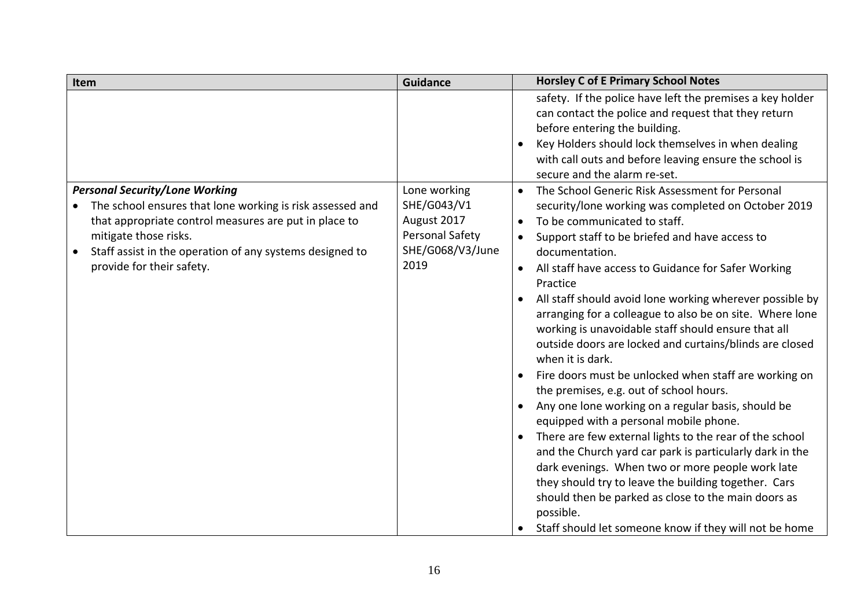<span id="page-15-0"></span>

| Item                                                                                                                                                                                                                                                                          | <b>Guidance</b>                                                                           | <b>Horsley C of E Primary School Notes</b>                                                                                                                                                                                                                                                                                                                                                                                                                                                                                                                                                                                                                                                                                                                                                                                                                                                                                                                                                                                                                                                                                                                                        |
|-------------------------------------------------------------------------------------------------------------------------------------------------------------------------------------------------------------------------------------------------------------------------------|-------------------------------------------------------------------------------------------|-----------------------------------------------------------------------------------------------------------------------------------------------------------------------------------------------------------------------------------------------------------------------------------------------------------------------------------------------------------------------------------------------------------------------------------------------------------------------------------------------------------------------------------------------------------------------------------------------------------------------------------------------------------------------------------------------------------------------------------------------------------------------------------------------------------------------------------------------------------------------------------------------------------------------------------------------------------------------------------------------------------------------------------------------------------------------------------------------------------------------------------------------------------------------------------|
|                                                                                                                                                                                                                                                                               |                                                                                           | safety. If the police have left the premises a key holder<br>can contact the police and request that they return<br>before entering the building.<br>Key Holders should lock themselves in when dealing<br>$\bullet$<br>with call outs and before leaving ensure the school is<br>secure and the alarm re-set.                                                                                                                                                                                                                                                                                                                                                                                                                                                                                                                                                                                                                                                                                                                                                                                                                                                                    |
| <b>Personal Security/Lone Working</b><br>The school ensures that lone working is risk assessed and<br>that appropriate control measures are put in place to<br>mitigate those risks.<br>Staff assist in the operation of any systems designed to<br>provide for their safety. | Lone working<br>SHE/G043/V1<br>August 2017<br>Personal Safety<br>SHE/G068/V3/June<br>2019 | The School Generic Risk Assessment for Personal<br>$\bullet$<br>security/lone working was completed on October 2019<br>To be communicated to staff.<br>$\bullet$<br>Support staff to be briefed and have access to<br>$\bullet$<br>documentation.<br>All staff have access to Guidance for Safer Working<br>$\bullet$<br>Practice<br>All staff should avoid lone working wherever possible by<br>arranging for a colleague to also be on site. Where lone<br>working is unavoidable staff should ensure that all<br>outside doors are locked and curtains/blinds are closed<br>when it is dark.<br>Fire doors must be unlocked when staff are working on<br>the premises, e.g. out of school hours.<br>Any one lone working on a regular basis, should be<br>$\bullet$<br>equipped with a personal mobile phone.<br>There are few external lights to the rear of the school<br>and the Church yard car park is particularly dark in the<br>dark evenings. When two or more people work late<br>they should try to leave the building together. Cars<br>should then be parked as close to the main doors as<br>possible.<br>Staff should let someone know if they will not be home |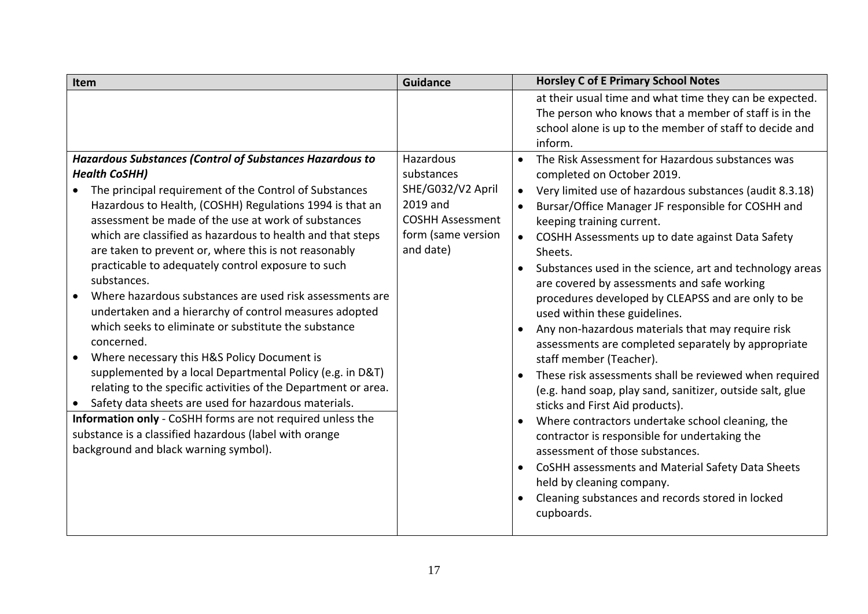<span id="page-16-0"></span>

| Item                                                                                                                                                                                                                                                                                                                                                                                                                                                                                                                                                                                                                                                                                                                                                                                                                                                                                                                                                                                                                                                                      | <b>Guidance</b>                                                                                                        | <b>Horsley C of E Primary School Notes</b>                                                                                                                                                                                                                                                                                                                                                                                                                                                                                                                                                                                                                                                                                                                                                                                                                                                                                                                                                                                                                                                                                                                                                         |
|---------------------------------------------------------------------------------------------------------------------------------------------------------------------------------------------------------------------------------------------------------------------------------------------------------------------------------------------------------------------------------------------------------------------------------------------------------------------------------------------------------------------------------------------------------------------------------------------------------------------------------------------------------------------------------------------------------------------------------------------------------------------------------------------------------------------------------------------------------------------------------------------------------------------------------------------------------------------------------------------------------------------------------------------------------------------------|------------------------------------------------------------------------------------------------------------------------|----------------------------------------------------------------------------------------------------------------------------------------------------------------------------------------------------------------------------------------------------------------------------------------------------------------------------------------------------------------------------------------------------------------------------------------------------------------------------------------------------------------------------------------------------------------------------------------------------------------------------------------------------------------------------------------------------------------------------------------------------------------------------------------------------------------------------------------------------------------------------------------------------------------------------------------------------------------------------------------------------------------------------------------------------------------------------------------------------------------------------------------------------------------------------------------------------|
|                                                                                                                                                                                                                                                                                                                                                                                                                                                                                                                                                                                                                                                                                                                                                                                                                                                                                                                                                                                                                                                                           |                                                                                                                        | at their usual time and what time they can be expected.<br>The person who knows that a member of staff is in the<br>school alone is up to the member of staff to decide and<br>inform.                                                                                                                                                                                                                                                                                                                                                                                                                                                                                                                                                                                                                                                                                                                                                                                                                                                                                                                                                                                                             |
| Hazardous Substances (Control of Substances Hazardous to<br><b>Health CoSHH)</b><br>The principal requirement of the Control of Substances<br>Hazardous to Health, (COSHH) Regulations 1994 is that an<br>assessment be made of the use at work of substances<br>which are classified as hazardous to health and that steps<br>are taken to prevent or, where this is not reasonably<br>practicable to adequately control exposure to such<br>substances.<br>Where hazardous substances are used risk assessments are<br>undertaken and a hierarchy of control measures adopted<br>which seeks to eliminate or substitute the substance<br>concerned.<br>Where necessary this H&S Policy Document is<br>supplemented by a local Departmental Policy (e.g. in D&T)<br>relating to the specific activities of the Department or area.<br>Safety data sheets are used for hazardous materials.<br>$\bullet$<br>Information only - CoSHH forms are not required unless the<br>substance is a classified hazardous (label with orange<br>background and black warning symbol). | Hazardous<br>substances<br>SHE/G032/V2 April<br>2019 and<br><b>COSHH Assessment</b><br>form (same version<br>and date) | The Risk Assessment for Hazardous substances was<br>$\bullet$<br>completed on October 2019.<br>Very limited use of hazardous substances (audit 8.3.18)<br>$\bullet$<br>Bursar/Office Manager JF responsible for COSHH and<br>keeping training current.<br>COSHH Assessments up to date against Data Safety<br>$\bullet$<br>Sheets.<br>Substances used in the science, art and technology areas<br>$\bullet$<br>are covered by assessments and safe working<br>procedures developed by CLEAPSS and are only to be<br>used within these guidelines.<br>Any non-hazardous materials that may require risk<br>$\bullet$<br>assessments are completed separately by appropriate<br>staff member (Teacher).<br>These risk assessments shall be reviewed when required<br>$\bullet$<br>(e.g. hand soap, play sand, sanitizer, outside salt, glue<br>sticks and First Aid products).<br>Where contractors undertake school cleaning, the<br>contractor is responsible for undertaking the<br>assessment of those substances.<br>CoSHH assessments and Material Safety Data Sheets<br>$\bullet$<br>held by cleaning company.<br>Cleaning substances and records stored in locked<br>$\bullet$<br>cupboards. |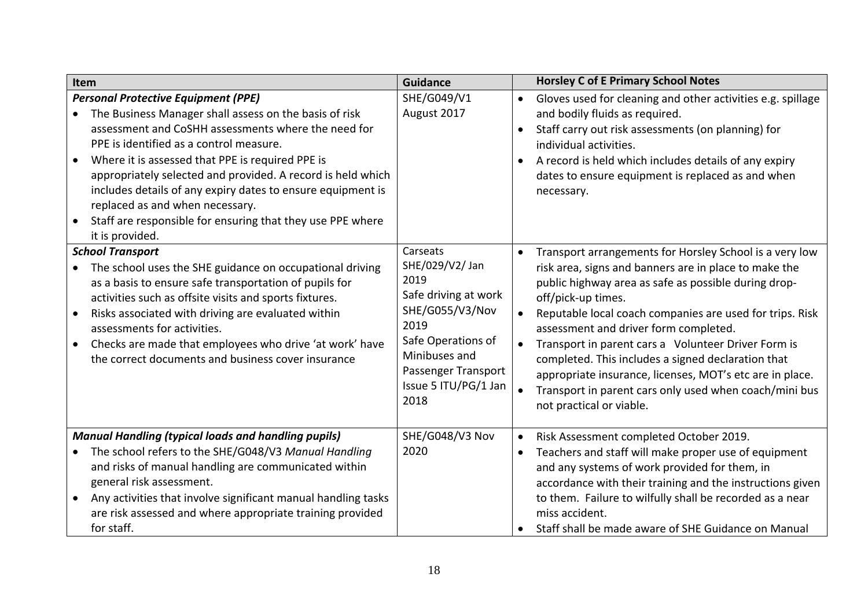<span id="page-17-2"></span><span id="page-17-1"></span><span id="page-17-0"></span>

| Item                                                                                                                                                                                                                                                                                                                                                                                                                                                                                                                      | <b>Guidance</b>                                                                                                                                                                      |                                     | <b>Horsley C of E Primary School Notes</b>                                                                                                                                                                                                                                                                                                                                                                                                                                                                                                                         |
|---------------------------------------------------------------------------------------------------------------------------------------------------------------------------------------------------------------------------------------------------------------------------------------------------------------------------------------------------------------------------------------------------------------------------------------------------------------------------------------------------------------------------|--------------------------------------------------------------------------------------------------------------------------------------------------------------------------------------|-------------------------------------|--------------------------------------------------------------------------------------------------------------------------------------------------------------------------------------------------------------------------------------------------------------------------------------------------------------------------------------------------------------------------------------------------------------------------------------------------------------------------------------------------------------------------------------------------------------------|
| <b>Personal Protective Equipment (PPE)</b><br>The Business Manager shall assess on the basis of risk<br>$\bullet$<br>assessment and CoSHH assessments where the need for<br>PPE is identified as a control measure.<br>Where it is assessed that PPE is required PPE is<br>appropriately selected and provided. A record is held which<br>includes details of any expiry dates to ensure equipment is<br>replaced as and when necessary.<br>Staff are responsible for ensuring that they use PPE where<br>it is provided. | SHE/G049/V1<br>August 2017                                                                                                                                                           | $\bullet$<br>$\bullet$<br>$\bullet$ | Gloves used for cleaning and other activities e.g. spillage<br>and bodily fluids as required.<br>Staff carry out risk assessments (on planning) for<br>individual activities.<br>A record is held which includes details of any expiry<br>dates to ensure equipment is replaced as and when<br>necessary.                                                                                                                                                                                                                                                          |
| <b>School Transport</b><br>The school uses the SHE guidance on occupational driving<br>$\bullet$<br>as a basis to ensure safe transportation of pupils for<br>activities such as offsite visits and sports fixtures.<br>Risks associated with driving are evaluated within<br>$\bullet$<br>assessments for activities.<br>Checks are made that employees who drive 'at work' have<br>$\bullet$<br>the correct documents and business cover insurance                                                                      | Carseats<br>SHE/029/V2/ Jan<br>2019<br>Safe driving at work<br>SHE/G055/V3/Nov<br>2019<br>Safe Operations of<br>Minibuses and<br>Passenger Transport<br>Issue 5 ITU/PG/1 Jan<br>2018 | $\bullet$<br>$\bullet$<br>$\bullet$ | Transport arrangements for Horsley School is a very low<br>risk area, signs and banners are in place to make the<br>public highway area as safe as possible during drop-<br>off/pick-up times.<br>Reputable local coach companies are used for trips. Risk<br>assessment and driver form completed.<br>Transport in parent cars a Volunteer Driver Form is<br>completed. This includes a signed declaration that<br>appropriate insurance, licenses, MOT's etc are in place.<br>Transport in parent cars only used when coach/mini bus<br>not practical or viable. |
| <b>Manual Handling (typical loads and handling pupils)</b><br>The school refers to the SHE/G048/V3 Manual Handling<br>and risks of manual handling are communicated within<br>general risk assessment.<br>Any activities that involve significant manual handling tasks<br>$\bullet$<br>are risk assessed and where appropriate training provided<br>for staff.                                                                                                                                                           | SHE/G048/V3 Nov<br>2020                                                                                                                                                              | $\bullet$<br>$\bullet$              | Risk Assessment completed October 2019.<br>Teachers and staff will make proper use of equipment<br>and any systems of work provided for them, in<br>accordance with their training and the instructions given<br>to them. Failure to wilfully shall be recorded as a near<br>miss accident.<br>Staff shall be made aware of SHE Guidance on Manual                                                                                                                                                                                                                 |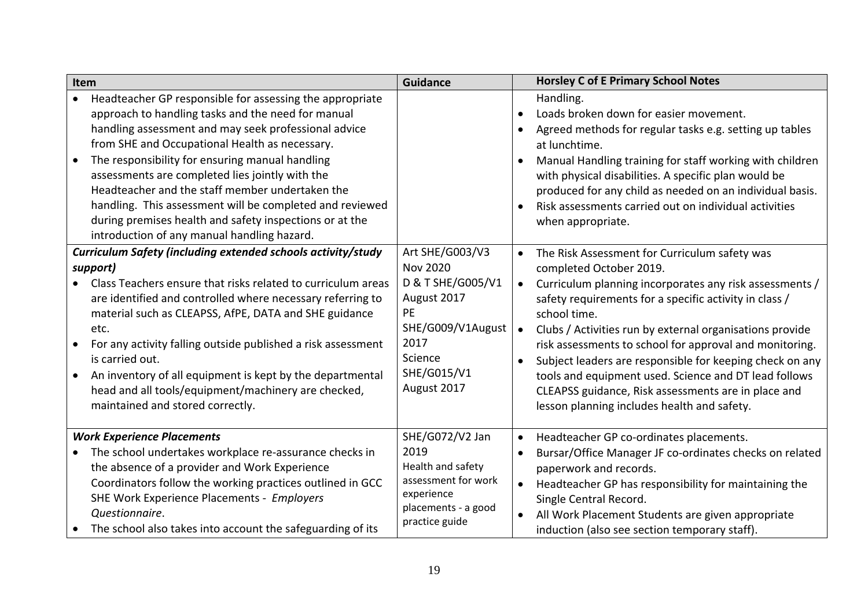<span id="page-18-1"></span><span id="page-18-0"></span>

| Item                                                                                                                                                                                                                                                                                                                                                                                                                                                                                                                                                    | <b>Guidance</b>                                                                                                                                    |                                     | <b>Horsley C of E Primary School Notes</b>                                                                                                                                                                                                                                                                                                                                                                                                                                                                                                                      |
|---------------------------------------------------------------------------------------------------------------------------------------------------------------------------------------------------------------------------------------------------------------------------------------------------------------------------------------------------------------------------------------------------------------------------------------------------------------------------------------------------------------------------------------------------------|----------------------------------------------------------------------------------------------------------------------------------------------------|-------------------------------------|-----------------------------------------------------------------------------------------------------------------------------------------------------------------------------------------------------------------------------------------------------------------------------------------------------------------------------------------------------------------------------------------------------------------------------------------------------------------------------------------------------------------------------------------------------------------|
| Headteacher GP responsible for assessing the appropriate<br>approach to handling tasks and the need for manual<br>handling assessment and may seek professional advice<br>from SHE and Occupational Health as necessary.<br>The responsibility for ensuring manual handling<br>assessments are completed lies jointly with the<br>Headteacher and the staff member undertaken the<br>handling. This assessment will be completed and reviewed<br>during premises health and safety inspections or at the<br>introduction of any manual handling hazard. |                                                                                                                                                    | $\bullet$<br>$\bullet$<br>$\bullet$ | Handling.<br>Loads broken down for easier movement.<br>Agreed methods for regular tasks e.g. setting up tables<br>at lunchtime.<br>Manual Handling training for staff working with children<br>with physical disabilities. A specific plan would be<br>produced for any child as needed on an individual basis.<br>Risk assessments carried out on individual activities<br>when appropriate.                                                                                                                                                                   |
| Curriculum Safety (including extended schools activity/study<br>support)<br>Class Teachers ensure that risks related to curriculum areas<br>are identified and controlled where necessary referring to<br>material such as CLEAPSS, AfPE, DATA and SHE guidance<br>etc.<br>For any activity falling outside published a risk assessment<br>is carried out.<br>An inventory of all equipment is kept by the departmental<br>head and all tools/equipment/machinery are checked,<br>maintained and stored correctly.                                      | Art SHE/G003/V3<br><b>Nov 2020</b><br>D & T SHE/G005/V1<br>August 2017<br>PE<br>SHE/G009/V1August<br>2017<br>Science<br>SHE/G015/V1<br>August 2017 | $\bullet$                           | The Risk Assessment for Curriculum safety was<br>completed October 2019.<br>Curriculum planning incorporates any risk assessments /<br>safety requirements for a specific activity in class /<br>school time.<br>Clubs / Activities run by external organisations provide<br>risk assessments to school for approval and monitoring.<br>Subject leaders are responsible for keeping check on any<br>tools and equipment used. Science and DT lead follows<br>CLEAPSS guidance, Risk assessments are in place and<br>lesson planning includes health and safety. |
| <b>Work Experience Placements</b><br>The school undertakes workplace re-assurance checks in<br>the absence of a provider and Work Experience<br>Coordinators follow the working practices outlined in GCC<br>SHE Work Experience Placements - Employers<br>Questionnaire.<br>The school also takes into account the safeguarding of its                                                                                                                                                                                                                 | SHE/G072/V2 Jan<br>2019<br>Health and safety<br>assessment for work<br>experience<br>placements - a good<br>practice guide                         | $\bullet$                           | Headteacher GP co-ordinates placements.<br>Bursar/Office Manager JF co-ordinates checks on related<br>paperwork and records.<br>Headteacher GP has responsibility for maintaining the<br>Single Central Record.<br>All Work Placement Students are given appropriate<br>induction (also see section temporary staff).                                                                                                                                                                                                                                           |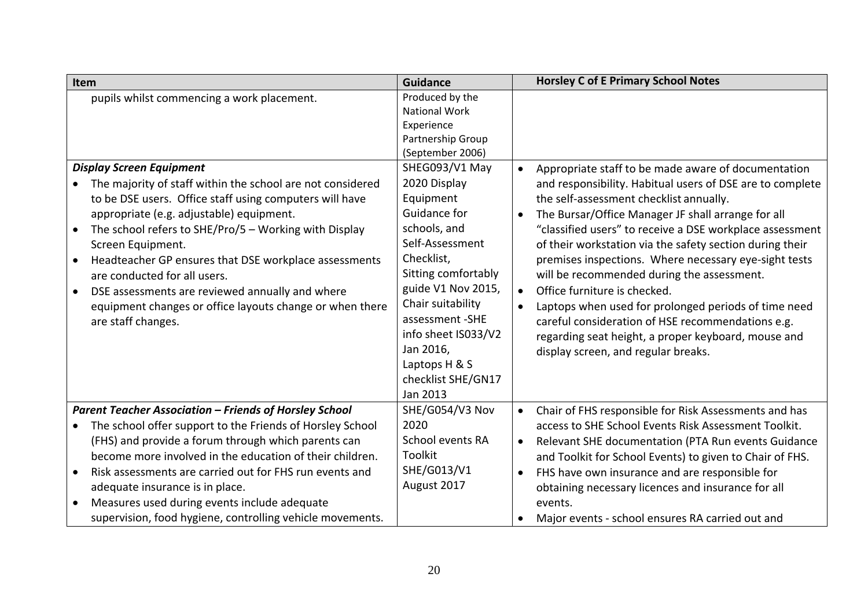<span id="page-19-1"></span><span id="page-19-0"></span>

| Item                                                                                                                                                                                                                                                                                                                                                                                                                                                                                                             | <b>Guidance</b>                                                                                                                                                                                                                                                                           | <b>Horsley C of E Primary School Notes</b>                                                                                                                                                                                                                                                                                                                                                                                                                                                                                                                                                                                                                                                                                                      |
|------------------------------------------------------------------------------------------------------------------------------------------------------------------------------------------------------------------------------------------------------------------------------------------------------------------------------------------------------------------------------------------------------------------------------------------------------------------------------------------------------------------|-------------------------------------------------------------------------------------------------------------------------------------------------------------------------------------------------------------------------------------------------------------------------------------------|-------------------------------------------------------------------------------------------------------------------------------------------------------------------------------------------------------------------------------------------------------------------------------------------------------------------------------------------------------------------------------------------------------------------------------------------------------------------------------------------------------------------------------------------------------------------------------------------------------------------------------------------------------------------------------------------------------------------------------------------------|
| pupils whilst commencing a work placement.                                                                                                                                                                                                                                                                                                                                                                                                                                                                       | Produced by the<br><b>National Work</b><br>Experience<br>Partnership Group<br>(September 2006)                                                                                                                                                                                            |                                                                                                                                                                                                                                                                                                                                                                                                                                                                                                                                                                                                                                                                                                                                                 |
| <b>Display Screen Equipment</b><br>The majority of staff within the school are not considered<br>to be DSE users. Office staff using computers will have<br>appropriate (e.g. adjustable) equipment.<br>The school refers to SHE/Pro/5 - Working with Display<br>Screen Equipment.<br>Headteacher GP ensures that DSE workplace assessments<br>are conducted for all users.<br>DSE assessments are reviewed annually and where<br>equipment changes or office layouts change or when there<br>are staff changes. | SHEG093/V1 May<br>2020 Display<br>Equipment<br>Guidance for<br>schools, and<br>Self-Assessment<br>Checklist,<br>Sitting comfortably<br>guide V1 Nov 2015,<br>Chair suitability<br>assessment - SHE<br>info sheet IS033/V2<br>Jan 2016,<br>Laptops H & S<br>checklist SHE/GN17<br>Jan 2013 | Appropriate staff to be made aware of documentation<br>$\bullet$<br>and responsibility. Habitual users of DSE are to complete<br>the self-assessment checklist annually.<br>The Bursar/Office Manager JF shall arrange for all<br>$\bullet$<br>"classified users" to receive a DSE workplace assessment<br>of their workstation via the safety section during their<br>premises inspections. Where necessary eye-sight tests<br>will be recommended during the assessment.<br>Office furniture is checked.<br>$\bullet$<br>Laptops when used for prolonged periods of time need<br>$\bullet$<br>careful consideration of HSE recommendations e.g.<br>regarding seat height, a proper keyboard, mouse and<br>display screen, and regular breaks. |
| <b>Parent Teacher Association - Friends of Horsley School</b><br>The school offer support to the Friends of Horsley School<br>(FHS) and provide a forum through which parents can<br>become more involved in the education of their children.<br>Risk assessments are carried out for FHS run events and<br>adequate insurance is in place.<br>Measures used during events include adequate<br>supervision, food hygiene, controlling vehicle movements.                                                         | SHE/G054/V3 Nov<br>2020<br>School events RA<br>Toolkit<br>SHE/G013/V1<br>August 2017                                                                                                                                                                                                      | Chair of FHS responsible for Risk Assessments and has<br>$\bullet$<br>access to SHE School Events Risk Assessment Toolkit.<br>Relevant SHE documentation (PTA Run events Guidance<br>and Toolkit for School Events) to given to Chair of FHS.<br>FHS have own insurance and are responsible for<br>obtaining necessary licences and insurance for all<br>events.<br>Major events - school ensures RA carried out and                                                                                                                                                                                                                                                                                                                            |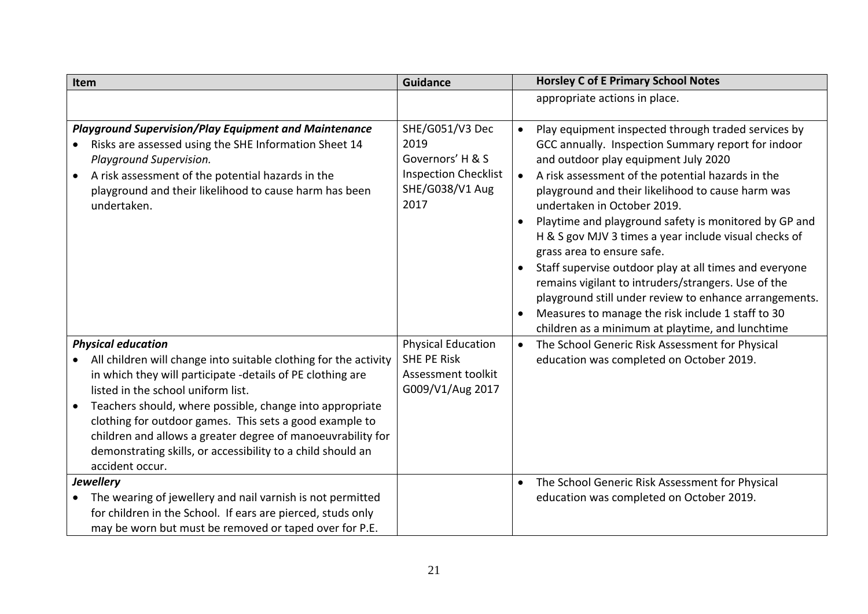<span id="page-20-2"></span><span id="page-20-1"></span><span id="page-20-0"></span>

| Item                                                                                                                                                                                                                                                                                                                                                                                                                                         | <b>Guidance</b>                                                                                       | <b>Horsley C of E Primary School Notes</b>                                                                                                                                                                                                                                                                                                                                                                                                                                                                                                                                                                                                                                                                                                                                                      |
|----------------------------------------------------------------------------------------------------------------------------------------------------------------------------------------------------------------------------------------------------------------------------------------------------------------------------------------------------------------------------------------------------------------------------------------------|-------------------------------------------------------------------------------------------------------|-------------------------------------------------------------------------------------------------------------------------------------------------------------------------------------------------------------------------------------------------------------------------------------------------------------------------------------------------------------------------------------------------------------------------------------------------------------------------------------------------------------------------------------------------------------------------------------------------------------------------------------------------------------------------------------------------------------------------------------------------------------------------------------------------|
|                                                                                                                                                                                                                                                                                                                                                                                                                                              |                                                                                                       | appropriate actions in place.                                                                                                                                                                                                                                                                                                                                                                                                                                                                                                                                                                                                                                                                                                                                                                   |
| <b>Playground Supervision/Play Equipment and Maintenance</b><br>Risks are assessed using the SHE Information Sheet 14<br>$\bullet$<br>Playground Supervision.<br>A risk assessment of the potential hazards in the<br>playground and their likelihood to cause harm has been<br>undertaken.                                                                                                                                                  | SHE/G051/V3 Dec<br>2019<br>Governors' H & S<br><b>Inspection Checklist</b><br>SHE/G038/V1 Aug<br>2017 | Play equipment inspected through traded services by<br>$\bullet$<br>GCC annually. Inspection Summary report for indoor<br>and outdoor play equipment July 2020<br>A risk assessment of the potential hazards in the<br>$\bullet$<br>playground and their likelihood to cause harm was<br>undertaken in October 2019.<br>Playtime and playground safety is monitored by GP and<br>$\bullet$<br>H & S gov MJV 3 times a year include visual checks of<br>grass area to ensure safe.<br>Staff supervise outdoor play at all times and everyone<br>$\bullet$<br>remains vigilant to intruders/strangers. Use of the<br>playground still under review to enhance arrangements.<br>Measures to manage the risk include 1 staff to 30<br>$\bullet$<br>children as a minimum at playtime, and lunchtime |
| <b>Physical education</b>                                                                                                                                                                                                                                                                                                                                                                                                                    | <b>Physical Education</b>                                                                             | The School Generic Risk Assessment for Physical<br>$\bullet$                                                                                                                                                                                                                                                                                                                                                                                                                                                                                                                                                                                                                                                                                                                                    |
| All children will change into suitable clothing for the activity<br>in which they will participate -details of PE clothing are<br>listed in the school uniform list.<br>Teachers should, where possible, change into appropriate<br>clothing for outdoor games. This sets a good example to<br>children and allows a greater degree of manoeuvrability for<br>demonstrating skills, or accessibility to a child should an<br>accident occur. | <b>SHE PE Risk</b><br>Assessment toolkit<br>G009/V1/Aug 2017                                          | education was completed on October 2019.                                                                                                                                                                                                                                                                                                                                                                                                                                                                                                                                                                                                                                                                                                                                                        |
| <b>Jewellery</b><br>The wearing of jewellery and nail varnish is not permitted<br>for children in the School. If ears are pierced, studs only<br>may be worn but must be removed or taped over for P.E.                                                                                                                                                                                                                                      |                                                                                                       | The School Generic Risk Assessment for Physical<br>$\bullet$<br>education was completed on October 2019.                                                                                                                                                                                                                                                                                                                                                                                                                                                                                                                                                                                                                                                                                        |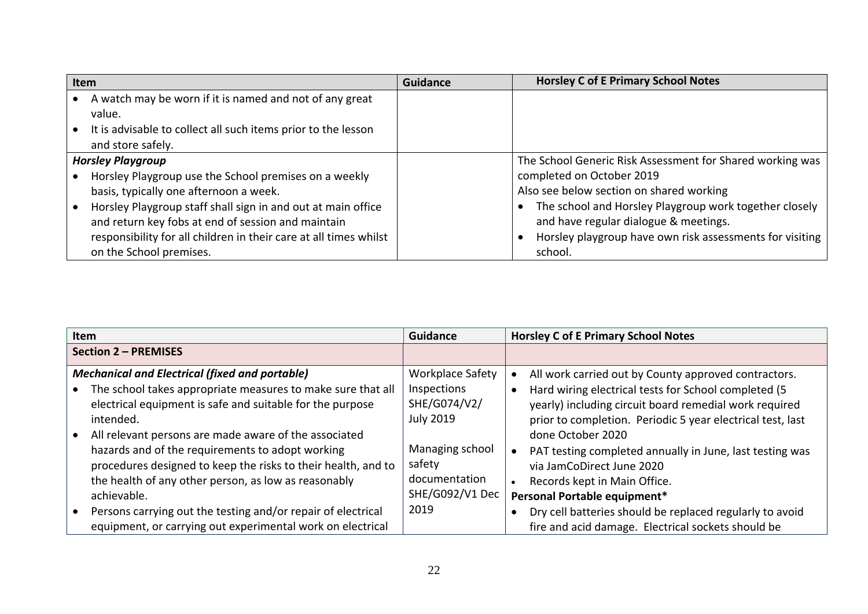| Item |                                                                                    | <b>Guidance</b> | <b>Horsley C of E Primary School Notes</b>                |
|------|------------------------------------------------------------------------------------|-----------------|-----------------------------------------------------------|
|      | A watch may be worn if it is named and not of any great<br>value.                  |                 |                                                           |
|      | It is advisable to collect all such items prior to the lesson<br>and store safely. |                 |                                                           |
|      | <b>Horsley Playgroup</b>                                                           |                 | The School Generic Risk Assessment for Shared working was |
|      | Horsley Playgroup use the School premises on a weekly                              |                 | completed on October 2019                                 |
|      | basis, typically one afternoon a week.                                             |                 | Also see below section on shared working                  |
|      | Horsley Playgroup staff shall sign in and out at main office                       |                 | The school and Horsley Playgroup work together closely    |
|      | and return key fobs at end of session and maintain                                 |                 | and have regular dialogue & meetings.                     |
|      | responsibility for all children in their care at all times whilst                  |                 | Horsley playgroup have own risk assessments for visiting  |
|      | on the School premises.                                                            |                 | school.                                                   |

<span id="page-21-2"></span><span id="page-21-1"></span><span id="page-21-0"></span>

| Item                                                                                                                                                                                                                                                                                                                                                                                                                                 | <b>Guidance</b>                                                                                                          | <b>Horsley C of E Primary School Notes</b>                                                                                                                                                                                                                                                                                                                                         |
|--------------------------------------------------------------------------------------------------------------------------------------------------------------------------------------------------------------------------------------------------------------------------------------------------------------------------------------------------------------------------------------------------------------------------------------|--------------------------------------------------------------------------------------------------------------------------|------------------------------------------------------------------------------------------------------------------------------------------------------------------------------------------------------------------------------------------------------------------------------------------------------------------------------------------------------------------------------------|
| <b>Section 2 - PREMISES</b>                                                                                                                                                                                                                                                                                                                                                                                                          |                                                                                                                          |                                                                                                                                                                                                                                                                                                                                                                                    |
| <b>Mechanical and Electrical (fixed and portable)</b><br>The school takes appropriate measures to make sure that all<br>electrical equipment is safe and suitable for the purpose<br>intended.<br>All relevant persons are made aware of the associated<br>hazards and of the requirements to adopt working<br>procedures designed to keep the risks to their health, and to<br>the health of any other person, as low as reasonably | <b>Workplace Safety</b><br>Inspections<br>SHE/G074/V2/<br><b>July 2019</b><br>Managing school<br>safety<br>documentation | All work carried out by County approved contractors.<br>Hard wiring electrical tests for School completed (5<br>yearly) including circuit board remedial work required<br>prior to completion. Periodic 5 year electrical test, last<br>done October 2020<br>PAT testing completed annually in June, last testing was<br>via JamCoDirect June 2020<br>Records kept in Main Office. |
| achievable.                                                                                                                                                                                                                                                                                                                                                                                                                          | SHE/G092/V1 Dec<br>2019                                                                                                  | Personal Portable equipment*                                                                                                                                                                                                                                                                                                                                                       |
| Persons carrying out the testing and/or repair of electrical<br>equipment, or carrying out experimental work on electrical                                                                                                                                                                                                                                                                                                           |                                                                                                                          | Dry cell batteries should be replaced regularly to avoid<br>fire and acid damage. Electrical sockets should be                                                                                                                                                                                                                                                                     |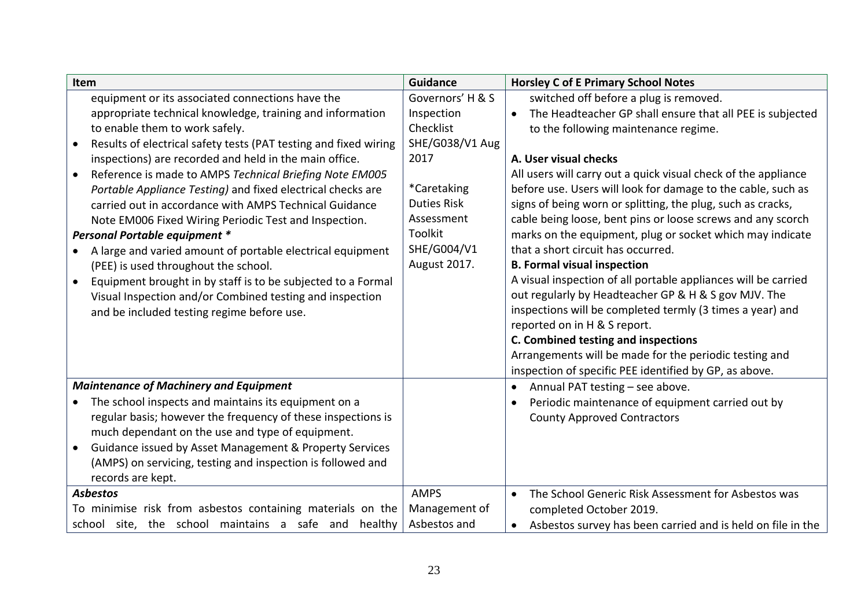<span id="page-22-2"></span><span id="page-22-1"></span><span id="page-22-0"></span>

| Item                                                                          | Guidance           | <b>Horsley C of E Primary School Notes</b>                             |
|-------------------------------------------------------------------------------|--------------------|------------------------------------------------------------------------|
| equipment or its associated connections have the                              | Governors' H & S   | switched off before a plug is removed.                                 |
| appropriate technical knowledge, training and information                     | Inspection         | The Headteacher GP shall ensure that all PEE is subjected<br>$\bullet$ |
| to enable them to work safely.                                                | Checklist          | to the following maintenance regime.                                   |
| Results of electrical safety tests (PAT testing and fixed wiring<br>$\bullet$ | SHE/G038/V1 Aug    |                                                                        |
| inspections) are recorded and held in the main office.                        | 2017               | A. User visual checks                                                  |
| Reference is made to AMPS Technical Briefing Note EM005<br>$\bullet$          |                    | All users will carry out a quick visual check of the appliance         |
| Portable Appliance Testing) and fixed electrical checks are                   | *Caretaking        | before use. Users will look for damage to the cable, such as           |
| carried out in accordance with AMPS Technical Guidance                        | <b>Duties Risk</b> | signs of being worn or splitting, the plug, such as cracks,            |
| Note EM006 Fixed Wiring Periodic Test and Inspection.                         | Assessment         | cable being loose, bent pins or loose screws and any scorch            |
| Personal Portable equipment *                                                 | Toolkit            | marks on the equipment, plug or socket which may indicate              |
| A large and varied amount of portable electrical equipment                    | SHE/G004/V1        | that a short circuit has occurred.                                     |
| (PEE) is used throughout the school.                                          | August 2017.       | <b>B. Formal visual inspection</b>                                     |
| Equipment brought in by staff is to be subjected to a Formal<br>$\bullet$     |                    | A visual inspection of all portable appliances will be carried         |
| Visual Inspection and/or Combined testing and inspection                      |                    | out regularly by Headteacher GP & H & S gov MJV. The                   |
| and be included testing regime before use.                                    |                    | inspections will be completed termly (3 times a year) and              |
|                                                                               |                    | reported on in H & S report.                                           |
|                                                                               |                    | C. Combined testing and inspections                                    |
|                                                                               |                    | Arrangements will be made for the periodic testing and                 |
|                                                                               |                    | inspection of specific PEE identified by GP, as above.                 |
| <b>Maintenance of Machinery and Equipment</b>                                 |                    | Annual PAT testing - see above.<br>$\bullet$                           |
| The school inspects and maintains its equipment on a<br>$\bullet$             |                    | Periodic maintenance of equipment carried out by                       |
| regular basis; however the frequency of these inspections is                  |                    | <b>County Approved Contractors</b>                                     |
| much dependant on the use and type of equipment.                              |                    |                                                                        |
| Guidance issued by Asset Management & Property Services<br>$\bullet$          |                    |                                                                        |
| (AMPS) on servicing, testing and inspection is followed and                   |                    |                                                                        |
| records are kept.<br><b>Asbestos</b>                                          | <b>AMPS</b>        | The School Generic Risk Assessment for Asbestos was                    |
| To minimise risk from asbestos containing materials on the                    | Management of      | $\bullet$<br>completed October 2019.                                   |
|                                                                               |                    |                                                                        |
| school site, the school maintains a safe and healthy                          | Asbestos and       | Asbestos survey has been carried and is held on file in the            |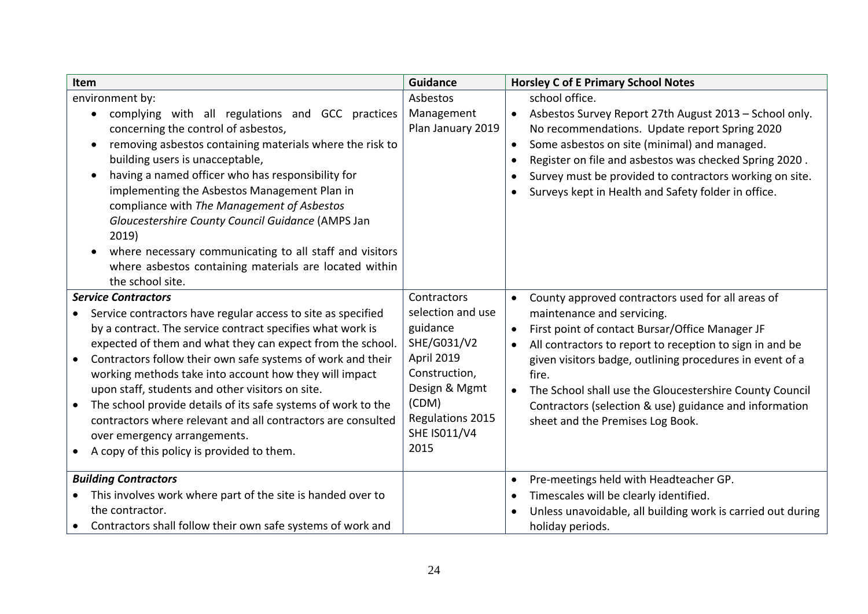<span id="page-23-1"></span><span id="page-23-0"></span>

| Item                                                                                                                                                                                                                                                                                                                                                                                                                                                                                                                                                                                                                            | <b>Guidance</b>                                                                                                                                                         | <b>Horsley C of E Primary School Notes</b>                                                                                                                                                                                                                                                                                                                                                                                                                          |
|---------------------------------------------------------------------------------------------------------------------------------------------------------------------------------------------------------------------------------------------------------------------------------------------------------------------------------------------------------------------------------------------------------------------------------------------------------------------------------------------------------------------------------------------------------------------------------------------------------------------------------|-------------------------------------------------------------------------------------------------------------------------------------------------------------------------|---------------------------------------------------------------------------------------------------------------------------------------------------------------------------------------------------------------------------------------------------------------------------------------------------------------------------------------------------------------------------------------------------------------------------------------------------------------------|
| environment by:<br>complying with all regulations and GCC practices<br>concerning the control of asbestos,<br>removing asbestos containing materials where the risk to<br>$\bullet$<br>building users is unacceptable,<br>having a named officer who has responsibility for<br>$\bullet$<br>implementing the Asbestos Management Plan in<br>compliance with The Management of Asbestos<br>Gloucestershire County Council Guidance (AMPS Jan<br>2019)<br>where necessary communicating to all staff and visitors<br>where asbestos containing materials are located within<br>the school site.                                   | Asbestos<br>Management<br>Plan January 2019                                                                                                                             | school office.<br>Asbestos Survey Report 27th August 2013 - School only.<br>$\bullet$<br>No recommendations. Update report Spring 2020<br>Some asbestos on site (minimal) and managed.<br>$\bullet$<br>Register on file and asbestos was checked Spring 2020.<br>Survey must be provided to contractors working on site.<br>Surveys kept in Health and Safety folder in office.                                                                                     |
| <b>Service Contractors</b><br>Service contractors have regular access to site as specified<br>by a contract. The service contract specifies what work is<br>expected of them and what they can expect from the school.<br>Contractors follow their own safe systems of work and their<br>$\bullet$<br>working methods take into account how they will impact<br>upon staff, students and other visitors on site.<br>The school provide details of its safe systems of work to the<br>contractors where relevant and all contractors are consulted<br>over emergency arrangements.<br>A copy of this policy is provided to them. | Contractors<br>selection and use<br>guidance<br>SHE/G031/V2<br>April 2019<br>Construction,<br>Design & Mgmt<br>(CDM)<br>Regulations 2015<br><b>SHE IS011/V4</b><br>2015 | County approved contractors used for all areas of<br>$\bullet$<br>maintenance and servicing.<br>First point of contact Bursar/Office Manager JF<br>$\bullet$<br>All contractors to report to reception to sign in and be<br>given visitors badge, outlining procedures in event of a<br>fire.<br>The School shall use the Gloucestershire County Council<br>$\bullet$<br>Contractors (selection & use) guidance and information<br>sheet and the Premises Log Book. |
| <b>Building Contractors</b><br>This involves work where part of the site is handed over to<br>the contractor.<br>Contractors shall follow their own safe systems of work and                                                                                                                                                                                                                                                                                                                                                                                                                                                    |                                                                                                                                                                         | Pre-meetings held with Headteacher GP.<br>$\bullet$<br>Timescales will be clearly identified.<br>Unless unavoidable, all building work is carried out during<br>holiday periods.                                                                                                                                                                                                                                                                                    |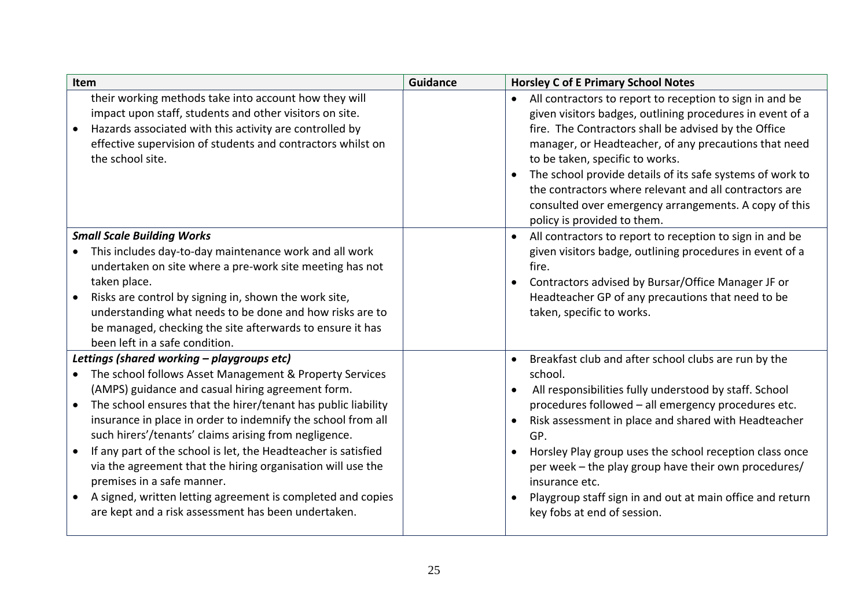<span id="page-24-1"></span><span id="page-24-0"></span>

| Item                                                                                                                                                                                                                                                                                                                                                                                                                                                                                                                                                                                                                                                                | <b>Guidance</b> | <b>Horsley C of E Primary School Notes</b>                                                                                                                                                                                                                                                                                                                                                                                                                                                                              |
|---------------------------------------------------------------------------------------------------------------------------------------------------------------------------------------------------------------------------------------------------------------------------------------------------------------------------------------------------------------------------------------------------------------------------------------------------------------------------------------------------------------------------------------------------------------------------------------------------------------------------------------------------------------------|-----------------|-------------------------------------------------------------------------------------------------------------------------------------------------------------------------------------------------------------------------------------------------------------------------------------------------------------------------------------------------------------------------------------------------------------------------------------------------------------------------------------------------------------------------|
| their working methods take into account how they will<br>impact upon staff, students and other visitors on site.<br>Hazards associated with this activity are controlled by<br>effective supervision of students and contractors whilst on<br>the school site.                                                                                                                                                                                                                                                                                                                                                                                                      |                 | All contractors to report to reception to sign in and be<br>$\bullet$<br>given visitors badges, outlining procedures in event of a<br>fire. The Contractors shall be advised by the Office<br>manager, or Headteacher, of any precautions that need<br>to be taken, specific to works.<br>The school provide details of its safe systems of work to<br>the contractors where relevant and all contractors are<br>consulted over emergency arrangements. A copy of this<br>policy is provided to them.                   |
| <b>Small Scale Building Works</b><br>This includes day-to-day maintenance work and all work<br>undertaken on site where a pre-work site meeting has not<br>taken place.<br>Risks are control by signing in, shown the work site,<br>understanding what needs to be done and how risks are to<br>be managed, checking the site afterwards to ensure it has<br>been left in a safe condition.                                                                                                                                                                                                                                                                         |                 | All contractors to report to reception to sign in and be<br>given visitors badge, outlining procedures in event of a<br>fire.<br>Contractors advised by Bursar/Office Manager JF or<br>Headteacher GP of any precautions that need to be<br>taken, specific to works.                                                                                                                                                                                                                                                   |
| Lettings (shared working - playgroups etc)<br>The school follows Asset Management & Property Services<br>(AMPS) guidance and casual hiring agreement form.<br>The school ensures that the hirer/tenant has public liability<br>$\bullet$<br>insurance in place in order to indemnify the school from all<br>such hirers'/tenants' claims arising from negligence.<br>If any part of the school is let, the Headteacher is satisfied<br>$\bullet$<br>via the agreement that the hiring organisation will use the<br>premises in a safe manner.<br>A signed, written letting agreement is completed and copies<br>are kept and a risk assessment has been undertaken. |                 | Breakfast club and after school clubs are run by the<br>school.<br>All responsibilities fully understood by staff. School<br>$\bullet$<br>procedures followed - all emergency procedures etc.<br>Risk assessment in place and shared with Headteacher<br>$\bullet$<br>GP.<br>Horsley Play group uses the school reception class once<br>$\bullet$<br>per week - the play group have their own procedures/<br>insurance etc.<br>Playgroup staff sign in and out at main office and return<br>key fobs at end of session. |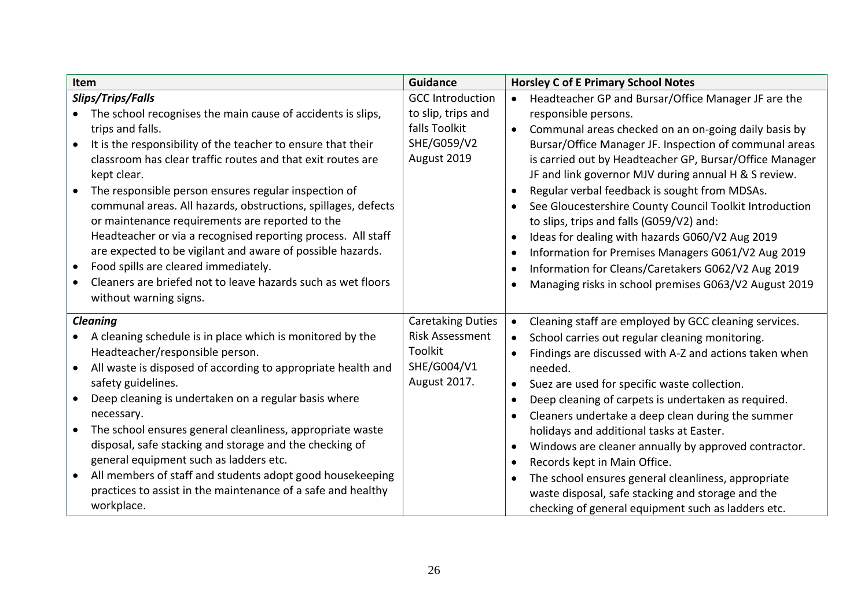<span id="page-25-1"></span><span id="page-25-0"></span>

|                                     | Item                                                                                                                                                                                                                                                                                                                                                                                                                                                                                                                                                                                                                                                                                           | <b>Guidance</b>                                                                              | <b>Horsley C of E Primary School Notes</b>                                                                                                                                                                                                                                                                                                                                                                                                                                                                                                                                                                                                                                                                                                           |
|-------------------------------------|------------------------------------------------------------------------------------------------------------------------------------------------------------------------------------------------------------------------------------------------------------------------------------------------------------------------------------------------------------------------------------------------------------------------------------------------------------------------------------------------------------------------------------------------------------------------------------------------------------------------------------------------------------------------------------------------|----------------------------------------------------------------------------------------------|------------------------------------------------------------------------------------------------------------------------------------------------------------------------------------------------------------------------------------------------------------------------------------------------------------------------------------------------------------------------------------------------------------------------------------------------------------------------------------------------------------------------------------------------------------------------------------------------------------------------------------------------------------------------------------------------------------------------------------------------------|
| $\bullet$<br>$\bullet$<br>$\bullet$ | Slips/Trips/Falls<br>The school recognises the main cause of accidents is slips,<br>trips and falls.<br>It is the responsibility of the teacher to ensure that their<br>classroom has clear traffic routes and that exit routes are<br>kept clear.<br>The responsible person ensures regular inspection of<br>communal areas. All hazards, obstructions, spillages, defects<br>or maintenance requirements are reported to the<br>Headteacher or via a recognised reporting process. All staff<br>are expected to be vigilant and aware of possible hazards.<br>Food spills are cleared immediately.<br>Cleaners are briefed not to leave hazards such as wet floors<br>without warning signs. | <b>GCC Introduction</b><br>to slip, trips and<br>falls Toolkit<br>SHE/G059/V2<br>August 2019 | Headteacher GP and Bursar/Office Manager JF are the<br>$\bullet$<br>responsible persons.<br>Communal areas checked on an on-going daily basis by<br>$\bullet$<br>Bursar/Office Manager JF. Inspection of communal areas<br>is carried out by Headteacher GP, Bursar/Office Manager<br>JF and link governor MJV during annual H & S review.<br>Regular verbal feedback is sought from MDSAs.<br>See Gloucestershire County Council Toolkit Introduction<br>to slips, trips and falls (G059/V2) and:<br>Ideas for dealing with hazards G060/V2 Aug 2019<br>$\bullet$<br>Information for Premises Managers G061/V2 Aug 2019<br>$\bullet$<br>Information for Cleans/Caretakers G062/V2 Aug 2019<br>Managing risks in school premises G063/V2 August 2019 |
| $\bullet$<br>$\bullet$              | <b>Cleaning</b><br>A cleaning schedule is in place which is monitored by the<br>Headteacher/responsible person.<br>All waste is disposed of according to appropriate health and<br>safety guidelines.<br>Deep cleaning is undertaken on a regular basis where<br>necessary.<br>The school ensures general cleanliness, appropriate waste<br>disposal, safe stacking and storage and the checking of<br>general equipment such as ladders etc.<br>All members of staff and students adopt good housekeeping<br>practices to assist in the maintenance of a safe and healthy<br>workplace.                                                                                                       | <b>Caretaking Duties</b><br><b>Risk Assessment</b><br>Toolkit<br>SHE/G004/V1<br>August 2017. | Cleaning staff are employed by GCC cleaning services.<br>$\bullet$<br>School carries out regular cleaning monitoring.<br>$\bullet$<br>Findings are discussed with A-Z and actions taken when<br>needed.<br>Suez are used for specific waste collection.<br>$\bullet$<br>Deep cleaning of carpets is undertaken as required.<br>Cleaners undertake a deep clean during the summer<br>holidays and additional tasks at Easter.<br>Windows are cleaner annually by approved contractor.<br>Records kept in Main Office.<br>$\bullet$<br>The school ensures general cleanliness, appropriate<br>$\bullet$<br>waste disposal, safe stacking and storage and the<br>checking of general equipment such as ladders etc.                                     |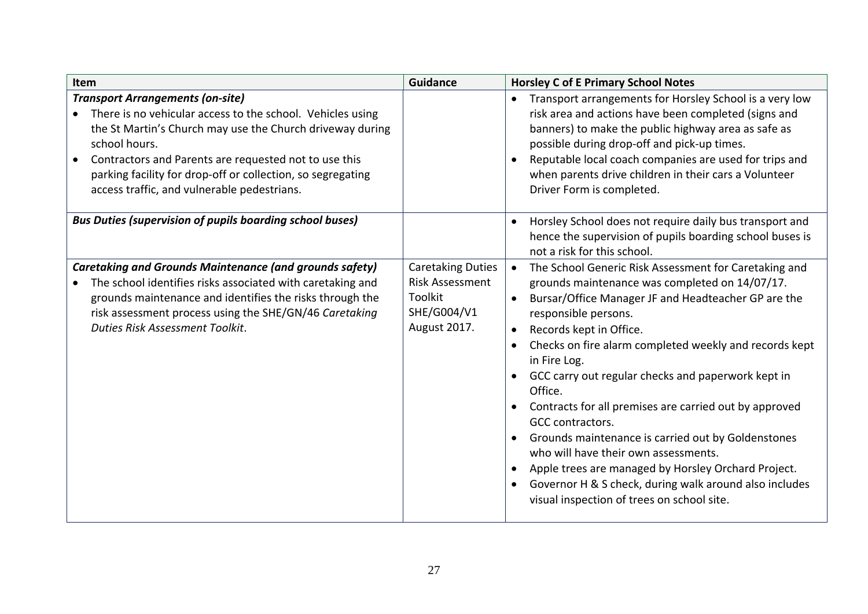<span id="page-26-2"></span><span id="page-26-1"></span><span id="page-26-0"></span>

| Item                                                                                                                                                                                                                                                                                                                                                       | <b>Guidance</b>                                                                              | <b>Horsley C of E Primary School Notes</b>                                                                                                                                                                                                                                                                                                                                                                                                                                                                                                                                                                                                                                                                                                                  |
|------------------------------------------------------------------------------------------------------------------------------------------------------------------------------------------------------------------------------------------------------------------------------------------------------------------------------------------------------------|----------------------------------------------------------------------------------------------|-------------------------------------------------------------------------------------------------------------------------------------------------------------------------------------------------------------------------------------------------------------------------------------------------------------------------------------------------------------------------------------------------------------------------------------------------------------------------------------------------------------------------------------------------------------------------------------------------------------------------------------------------------------------------------------------------------------------------------------------------------------|
| <b>Transport Arrangements (on-site)</b><br>There is no vehicular access to the school. Vehicles using<br>the St Martin's Church may use the Church driveway during<br>school hours.<br>Contractors and Parents are requested not to use this<br>parking facility for drop-off or collection, so segregating<br>access traffic, and vulnerable pedestrians. |                                                                                              | Transport arrangements for Horsley School is a very low<br>risk area and actions have been completed (signs and<br>banners) to make the public highway area as safe as<br>possible during drop-off and pick-up times.<br>Reputable local coach companies are used for trips and<br>$\bullet$<br>when parents drive children in their cars a Volunteer<br>Driver Form is completed.                                                                                                                                                                                                                                                                                                                                                                          |
| <b>Bus Duties (supervision of pupils boarding school buses)</b>                                                                                                                                                                                                                                                                                            |                                                                                              | Horsley School does not require daily bus transport and<br>$\bullet$<br>hence the supervision of pupils boarding school buses is<br>not a risk for this school.                                                                                                                                                                                                                                                                                                                                                                                                                                                                                                                                                                                             |
| <b>Caretaking and Grounds Maintenance (and grounds safety)</b><br>The school identifies risks associated with caretaking and<br>grounds maintenance and identifies the risks through the<br>risk assessment process using the SHE/GN/46 Caretaking<br>Duties Risk Assessment Toolkit.                                                                      | <b>Caretaking Duties</b><br><b>Risk Assessment</b><br>Toolkit<br>SHE/G004/V1<br>August 2017. | The School Generic Risk Assessment for Caretaking and<br>$\bullet$<br>grounds maintenance was completed on 14/07/17.<br>Bursar/Office Manager JF and Headteacher GP are the<br>$\bullet$<br>responsible persons.<br>Records kept in Office.<br>$\bullet$<br>Checks on fire alarm completed weekly and records kept<br>in Fire Log.<br>GCC carry out regular checks and paperwork kept in<br>Office.<br>Contracts for all premises are carried out by approved<br>GCC contractors.<br>Grounds maintenance is carried out by Goldenstones<br>who will have their own assessments.<br>Apple trees are managed by Horsley Orchard Project.<br>Governor H & S check, during walk around also includes<br>$\bullet$<br>visual inspection of trees on school site. |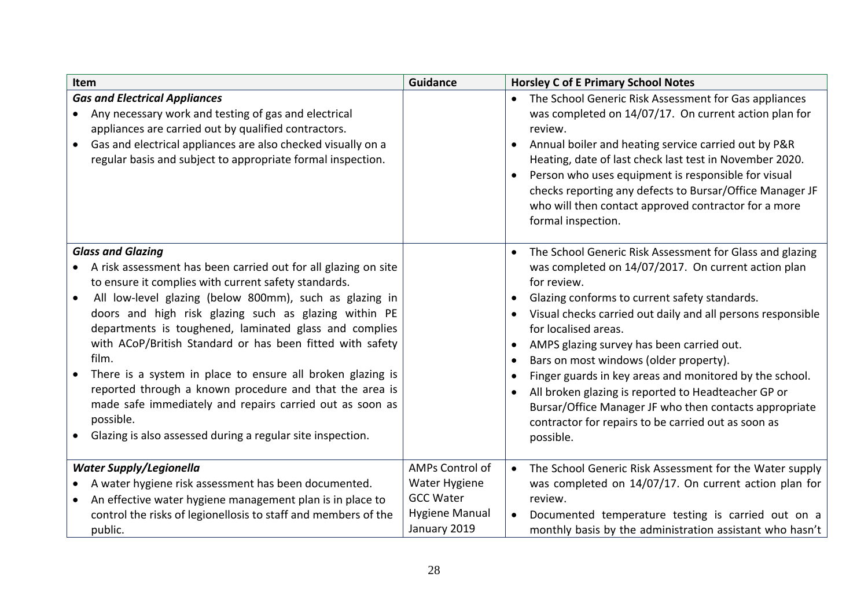<span id="page-27-2"></span><span id="page-27-1"></span><span id="page-27-0"></span>

| Item                                                                                                                                                                                                                                                                                                                                                                                                                                                                                                                                                                                                                                                                   | <b>Guidance</b>                                                                        | <b>Horsley C of E Primary School Notes</b>                                                                                                                                                                                                                                                                                                                                                                                                                                                                                                                                                                                 |
|------------------------------------------------------------------------------------------------------------------------------------------------------------------------------------------------------------------------------------------------------------------------------------------------------------------------------------------------------------------------------------------------------------------------------------------------------------------------------------------------------------------------------------------------------------------------------------------------------------------------------------------------------------------------|----------------------------------------------------------------------------------------|----------------------------------------------------------------------------------------------------------------------------------------------------------------------------------------------------------------------------------------------------------------------------------------------------------------------------------------------------------------------------------------------------------------------------------------------------------------------------------------------------------------------------------------------------------------------------------------------------------------------------|
| <b>Gas and Electrical Appliances</b><br>Any necessary work and testing of gas and electrical<br>appliances are carried out by qualified contractors.<br>Gas and electrical appliances are also checked visually on a<br>$\bullet$<br>regular basis and subject to appropriate formal inspection.                                                                                                                                                                                                                                                                                                                                                                       |                                                                                        | The School Generic Risk Assessment for Gas appliances<br>was completed on 14/07/17. On current action plan for<br>review.<br>Annual boiler and heating service carried out by P&R<br>$\bullet$<br>Heating, date of last check last test in November 2020.<br>Person who uses equipment is responsible for visual<br>checks reporting any defects to Bursar/Office Manager JF<br>who will then contact approved contractor for a more<br>formal inspection.                                                                                                                                                                 |
| <b>Glass and Glazing</b><br>A risk assessment has been carried out for all glazing on site<br>to ensure it complies with current safety standards.<br>All low-level glazing (below 800mm), such as glazing in<br>doors and high risk glazing such as glazing within PE<br>departments is toughened, laminated glass and complies<br>with ACoP/British Standard or has been fitted with safety<br>film.<br>There is a system in place to ensure all broken glazing is<br>reported through a known procedure and that the area is<br>made safe immediately and repairs carried out as soon as<br>possible.<br>Glazing is also assessed during a regular site inspection. |                                                                                        | The School Generic Risk Assessment for Glass and glazing<br>was completed on 14/07/2017. On current action plan<br>for review.<br>Glazing conforms to current safety standards.<br>Visual checks carried out daily and all persons responsible<br>for localised areas.<br>AMPS glazing survey has been carried out.<br>Bars on most windows (older property).<br>$\bullet$<br>Finger guards in key areas and monitored by the school.<br>All broken glazing is reported to Headteacher GP or<br>Bursar/Office Manager JF who then contacts appropriate<br>contractor for repairs to be carried out as soon as<br>possible. |
| <b>Water Supply/Legionella</b><br>A water hygiene risk assessment has been documented.<br>An effective water hygiene management plan is in place to<br>control the risks of legionellosis to staff and members of the<br>public.                                                                                                                                                                                                                                                                                                                                                                                                                                       | AMPs Control of<br>Water Hygiene<br><b>GCC Water</b><br>Hygiene Manual<br>January 2019 | The School Generic Risk Assessment for the Water supply<br>$\bullet$<br>was completed on 14/07/17. On current action plan for<br>review.<br>Documented temperature testing is carried out on a<br>monthly basis by the administration assistant who hasn't                                                                                                                                                                                                                                                                                                                                                                 |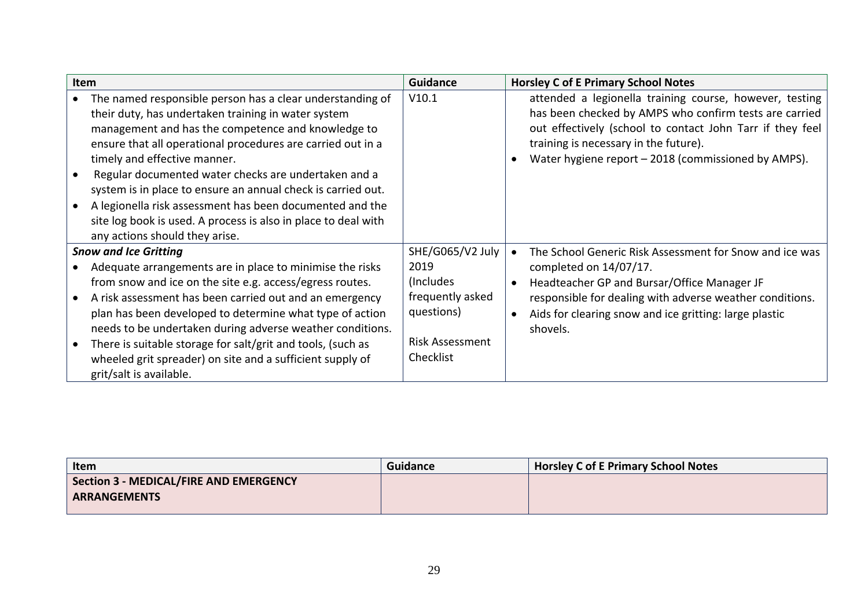| <b>Item</b>                                                                                                                                                                                                                                                                                                                                                                                                                                                                                                                                                   | <b>Guidance</b>        | <b>Horsley C of E Primary School Notes</b>                                                                                                                                                                                                                                     |
|---------------------------------------------------------------------------------------------------------------------------------------------------------------------------------------------------------------------------------------------------------------------------------------------------------------------------------------------------------------------------------------------------------------------------------------------------------------------------------------------------------------------------------------------------------------|------------------------|--------------------------------------------------------------------------------------------------------------------------------------------------------------------------------------------------------------------------------------------------------------------------------|
| The named responsible person has a clear understanding of<br>their duty, has undertaken training in water system<br>management and has the competence and knowledge to<br>ensure that all operational procedures are carried out in a<br>timely and effective manner.<br>Regular documented water checks are undertaken and a<br>system is in place to ensure an annual check is carried out.<br>A legionella risk assessment has been documented and the<br>site log book is used. A process is also in place to deal with<br>any actions should they arise. | V10.1                  | attended a legionella training course, however, testing<br>has been checked by AMPS who confirm tests are carried<br>out effectively (school to contact John Tarr if they feel<br>training is necessary in the future).<br>Water hygiene report - 2018 (commissioned by AMPS). |
| <b>Snow and Ice Gritting</b>                                                                                                                                                                                                                                                                                                                                                                                                                                                                                                                                  | SHE/G065/V2 July       | The School Generic Risk Assessment for Snow and ice was                                                                                                                                                                                                                        |
| Adequate arrangements are in place to minimise the risks                                                                                                                                                                                                                                                                                                                                                                                                                                                                                                      | 2019                   | completed on 14/07/17.                                                                                                                                                                                                                                                         |
| from snow and ice on the site e.g. access/egress routes.                                                                                                                                                                                                                                                                                                                                                                                                                                                                                                      | (Includes)             | Headteacher GP and Bursar/Office Manager JF                                                                                                                                                                                                                                    |
| A risk assessment has been carried out and an emergency                                                                                                                                                                                                                                                                                                                                                                                                                                                                                                       | frequently asked       | responsible for dealing with adverse weather conditions.                                                                                                                                                                                                                       |
| plan has been developed to determine what type of action                                                                                                                                                                                                                                                                                                                                                                                                                                                                                                      | questions)             | Aids for clearing snow and ice gritting: large plastic                                                                                                                                                                                                                         |
| needs to be undertaken during adverse weather conditions.                                                                                                                                                                                                                                                                                                                                                                                                                                                                                                     |                        | shovels.                                                                                                                                                                                                                                                                       |
| There is suitable storage for salt/grit and tools, (such as                                                                                                                                                                                                                                                                                                                                                                                                                                                                                                   | <b>Risk Assessment</b> |                                                                                                                                                                                                                                                                                |
| wheeled grit spreader) on site and a sufficient supply of                                                                                                                                                                                                                                                                                                                                                                                                                                                                                                     | Checklist              |                                                                                                                                                                                                                                                                                |
| grit/salt is available.                                                                                                                                                                                                                                                                                                                                                                                                                                                                                                                                       |                        |                                                                                                                                                                                                                                                                                |

<span id="page-28-1"></span><span id="page-28-0"></span>

| Item                                                          | <b>Guidance</b> | <b>Horsley C of E Primary School Notes</b> |
|---------------------------------------------------------------|-----------------|--------------------------------------------|
| <b>Section 3 - MEDICAL/FIRE AND EMERGENCY</b><br>ARRANGEMENTS |                 |                                            |
|                                                               |                 |                                            |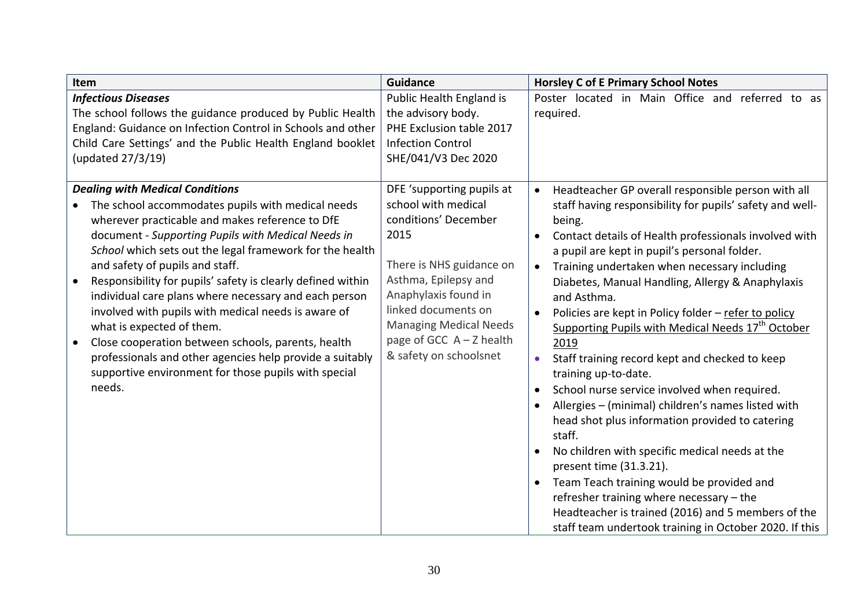<span id="page-29-1"></span><span id="page-29-0"></span>

| Item                                                                                                                                                                                                                                                                                                                                                                                                                                                                                                                                                                                                                                                                                                             | <b>Guidance</b>                                                                                                                                                                                                                                                              | <b>Horsley C of E Primary School Notes</b>                                                                                                                                                                                                                                                                                                                                                                                                                                                                                                                                                                                                                                                                                                                                                                                                                                                                                                                                                                                                                                   |
|------------------------------------------------------------------------------------------------------------------------------------------------------------------------------------------------------------------------------------------------------------------------------------------------------------------------------------------------------------------------------------------------------------------------------------------------------------------------------------------------------------------------------------------------------------------------------------------------------------------------------------------------------------------------------------------------------------------|------------------------------------------------------------------------------------------------------------------------------------------------------------------------------------------------------------------------------------------------------------------------------|------------------------------------------------------------------------------------------------------------------------------------------------------------------------------------------------------------------------------------------------------------------------------------------------------------------------------------------------------------------------------------------------------------------------------------------------------------------------------------------------------------------------------------------------------------------------------------------------------------------------------------------------------------------------------------------------------------------------------------------------------------------------------------------------------------------------------------------------------------------------------------------------------------------------------------------------------------------------------------------------------------------------------------------------------------------------------|
| <b>Infectious Diseases</b><br>The school follows the guidance produced by Public Health<br>England: Guidance on Infection Control in Schools and other<br>Child Care Settings' and the Public Health England booklet<br>(updated 27/3/19)                                                                                                                                                                                                                                                                                                                                                                                                                                                                        | Public Health England is<br>the advisory body.<br>PHE Exclusion table 2017<br><b>Infection Control</b><br>SHE/041/V3 Dec 2020                                                                                                                                                | Poster located in Main Office and referred to as<br>required.                                                                                                                                                                                                                                                                                                                                                                                                                                                                                                                                                                                                                                                                                                                                                                                                                                                                                                                                                                                                                |
| <b>Dealing with Medical Conditions</b><br>The school accommodates pupils with medical needs<br>wherever practicable and makes reference to DfE<br>document - Supporting Pupils with Medical Needs in<br>School which sets out the legal framework for the health<br>and safety of pupils and staff.<br>Responsibility for pupils' safety is clearly defined within<br>individual care plans where necessary and each person<br>involved with pupils with medical needs is aware of<br>what is expected of them.<br>Close cooperation between schools, parents, health<br>$\bullet$<br>professionals and other agencies help provide a suitably<br>supportive environment for those pupils with special<br>needs. | DFE 'supporting pupils at<br>school with medical<br>conditions' December<br>2015<br>There is NHS guidance on<br>Asthma, Epilepsy and<br>Anaphylaxis found in<br>linked documents on<br><b>Managing Medical Needs</b><br>page of GCC $A - Z$ health<br>& safety on schoolsnet | Headteacher GP overall responsible person with all<br>$\bullet$<br>staff having responsibility for pupils' safety and well-<br>being.<br>Contact details of Health professionals involved with<br>a pupil are kept in pupil's personal folder.<br>Training undertaken when necessary including<br>$\bullet$<br>Diabetes, Manual Handling, Allergy & Anaphylaxis<br>and Asthma.<br>Policies are kept in Policy folder - refer to policy<br>$\bullet$<br>Supporting Pupils with Medical Needs 17 <sup>th</sup> October<br>2019<br>Staff training record kept and checked to keep<br>$\bullet$<br>training up-to-date.<br>School nurse service involved when required.<br>Allergies - (minimal) children's names listed with<br>head shot plus information provided to catering<br>staff.<br>No children with specific medical needs at the<br>present time (31.3.21).<br>Team Teach training would be provided and<br>refresher training where necessary - the<br>Headteacher is trained (2016) and 5 members of the<br>staff team undertook training in October 2020. If this |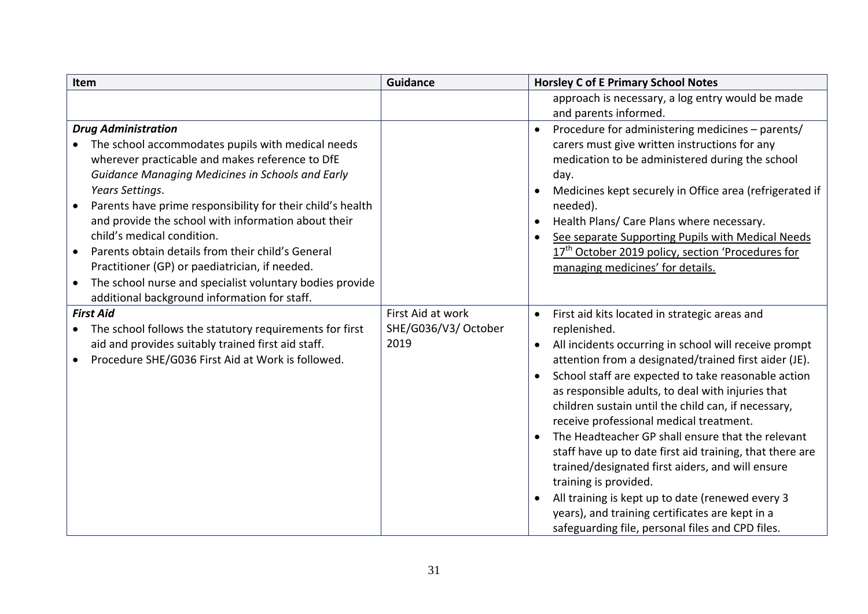<span id="page-30-1"></span><span id="page-30-0"></span>

| Item                                                                                                                                                                                                                                                                                                                                                                                                                                                                                    | <b>Guidance</b>                                   | <b>Horsley C of E Primary School Notes</b>                                                                                                                                                                                                                                                                                                                                                                                                                                                                                                                                                                                                                                                                                                                                                                              |
|-----------------------------------------------------------------------------------------------------------------------------------------------------------------------------------------------------------------------------------------------------------------------------------------------------------------------------------------------------------------------------------------------------------------------------------------------------------------------------------------|---------------------------------------------------|-------------------------------------------------------------------------------------------------------------------------------------------------------------------------------------------------------------------------------------------------------------------------------------------------------------------------------------------------------------------------------------------------------------------------------------------------------------------------------------------------------------------------------------------------------------------------------------------------------------------------------------------------------------------------------------------------------------------------------------------------------------------------------------------------------------------------|
|                                                                                                                                                                                                                                                                                                                                                                                                                                                                                         |                                                   | approach is necessary, a log entry would be made                                                                                                                                                                                                                                                                                                                                                                                                                                                                                                                                                                                                                                                                                                                                                                        |
|                                                                                                                                                                                                                                                                                                                                                                                                                                                                                         |                                                   | and parents informed.                                                                                                                                                                                                                                                                                                                                                                                                                                                                                                                                                                                                                                                                                                                                                                                                   |
| <b>Drug Administration</b><br>The school accommodates pupils with medical needs<br>wherever practicable and makes reference to DfE<br><b>Guidance Managing Medicines in Schools and Early</b><br>Years Settings.<br>Parents have prime responsibility for their child's health<br>$\bullet$<br>and provide the school with information about their<br>child's medical condition.<br>Parents obtain details from their child's General<br>Practitioner (GP) or paediatrician, if needed. |                                                   | Procedure for administering medicines - parents/<br>$\bullet$<br>carers must give written instructions for any<br>medication to be administered during the school<br>day.<br>Medicines kept securely in Office area (refrigerated if<br>needed).<br>Health Plans/ Care Plans where necessary.<br>$\bullet$<br>See separate Supporting Pupils with Medical Needs<br>$\bullet$<br>17 <sup>th</sup> October 2019 policy, section 'Procedures for<br>managing medicines' for details.                                                                                                                                                                                                                                                                                                                                       |
| The school nurse and specialist voluntary bodies provide<br>$\bullet$<br>additional background information for staff.                                                                                                                                                                                                                                                                                                                                                                   |                                                   |                                                                                                                                                                                                                                                                                                                                                                                                                                                                                                                                                                                                                                                                                                                                                                                                                         |
| <b>First Aid</b><br>The school follows the statutory requirements for first<br>aid and provides suitably trained first aid staff.<br>Procedure SHE/G036 First Aid at Work is followed.                                                                                                                                                                                                                                                                                                  | First Aid at work<br>SHE/G036/V3/ October<br>2019 | First aid kits located in strategic areas and<br>$\bullet$<br>replenished.<br>All incidents occurring in school will receive prompt<br>$\bullet$<br>attention from a designated/trained first aider (JE).<br>School staff are expected to take reasonable action<br>$\bullet$<br>as responsible adults, to deal with injuries that<br>children sustain until the child can, if necessary,<br>receive professional medical treatment.<br>The Headteacher GP shall ensure that the relevant<br>$\bullet$<br>staff have up to date first aid training, that there are<br>trained/designated first aiders, and will ensure<br>training is provided.<br>All training is kept up to date (renewed every 3<br>$\bullet$<br>years), and training certificates are kept in a<br>safeguarding file, personal files and CPD files. |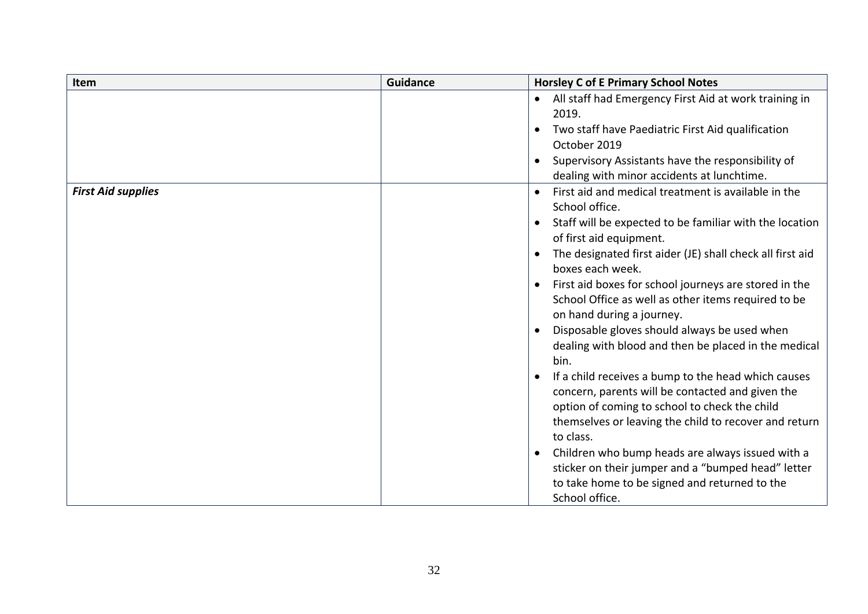<span id="page-31-0"></span>

| <b>Item</b>               | <b>Guidance</b> | <b>Horsley C of E Primary School Notes</b>                                                                                                                                                                                                                                                                                                                                                                                                                                                                                                                                                                                                                                                                                                                                                                                                                                                                                                         |
|---------------------------|-----------------|----------------------------------------------------------------------------------------------------------------------------------------------------------------------------------------------------------------------------------------------------------------------------------------------------------------------------------------------------------------------------------------------------------------------------------------------------------------------------------------------------------------------------------------------------------------------------------------------------------------------------------------------------------------------------------------------------------------------------------------------------------------------------------------------------------------------------------------------------------------------------------------------------------------------------------------------------|
|                           |                 | All staff had Emergency First Aid at work training in<br>2019.<br>Two staff have Paediatric First Aid qualification<br>October 2019<br>Supervisory Assistants have the responsibility of<br>dealing with minor accidents at lunchtime.                                                                                                                                                                                                                                                                                                                                                                                                                                                                                                                                                                                                                                                                                                             |
| <b>First Aid supplies</b> |                 | First aid and medical treatment is available in the<br>School office.<br>Staff will be expected to be familiar with the location<br>$\bullet$<br>of first aid equipment.<br>The designated first aider (JE) shall check all first aid<br>$\bullet$<br>boxes each week.<br>First aid boxes for school journeys are stored in the<br>School Office as well as other items required to be<br>on hand during a journey.<br>Disposable gloves should always be used when<br>dealing with blood and then be placed in the medical<br>bin.<br>If a child receives a bump to the head which causes<br>concern, parents will be contacted and given the<br>option of coming to school to check the child<br>themselves or leaving the child to recover and return<br>to class.<br>Children who bump heads are always issued with a<br>sticker on their jumper and a "bumped head" letter<br>to take home to be signed and returned to the<br>School office. |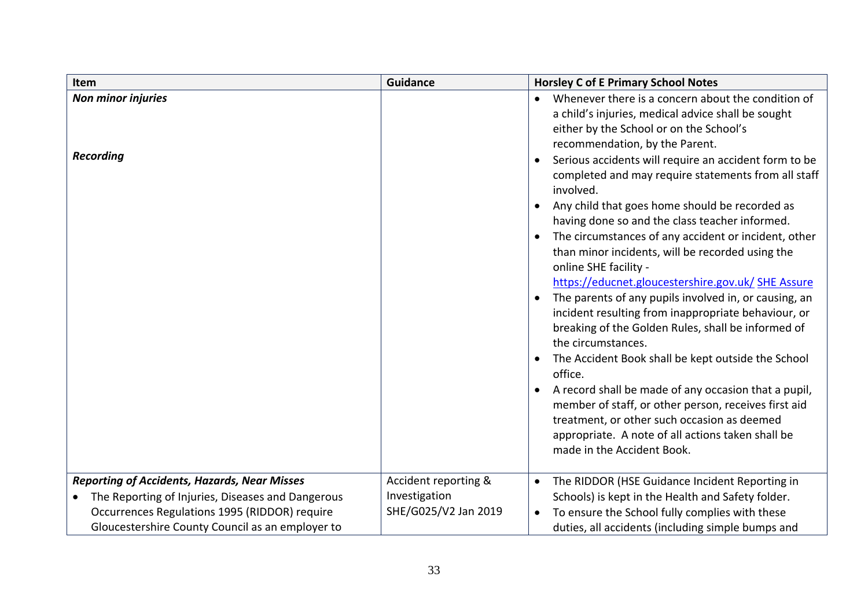<span id="page-32-2"></span><span id="page-32-1"></span><span id="page-32-0"></span>

| Item                                                           | <b>Guidance</b>      | <b>Horsley C of E Primary School Notes</b>                                                                                                                                                                                                                                                                                                                                                                                                                                                                                                                                                                                                                                                                                                                                                                                                                                                                                                                                                                                                                                                                                                                                                        |
|----------------------------------------------------------------|----------------------|---------------------------------------------------------------------------------------------------------------------------------------------------------------------------------------------------------------------------------------------------------------------------------------------------------------------------------------------------------------------------------------------------------------------------------------------------------------------------------------------------------------------------------------------------------------------------------------------------------------------------------------------------------------------------------------------------------------------------------------------------------------------------------------------------------------------------------------------------------------------------------------------------------------------------------------------------------------------------------------------------------------------------------------------------------------------------------------------------------------------------------------------------------------------------------------------------|
| <b>Non minor injuries</b><br><b>Recording</b>                  |                      | Whenever there is a concern about the condition of<br>$\bullet$<br>a child's injuries, medical advice shall be sought<br>either by the School or on the School's<br>recommendation, by the Parent.<br>Serious accidents will require an accident form to be<br>$\bullet$<br>completed and may require statements from all staff<br>involved.<br>Any child that goes home should be recorded as<br>$\bullet$<br>having done so and the class teacher informed.<br>The circumstances of any accident or incident, other<br>$\bullet$<br>than minor incidents, will be recorded using the<br>online SHE facility -<br>https://educnet.gloucestershire.gov.uk/ SHE Assure<br>The parents of any pupils involved in, or causing, an<br>$\bullet$<br>incident resulting from inappropriate behaviour, or<br>breaking of the Golden Rules, shall be informed of<br>the circumstances.<br>The Accident Book shall be kept outside the School<br>office.<br>A record shall be made of any occasion that a pupil,<br>member of staff, or other person, receives first aid<br>treatment, or other such occasion as deemed<br>appropriate. A note of all actions taken shall be<br>made in the Accident Book. |
| <b>Reporting of Accidents, Hazards, Near Misses</b>            | Accident reporting & | The RIDDOR (HSE Guidance Incident Reporting in<br>$\bullet$                                                                                                                                                                                                                                                                                                                                                                                                                                                                                                                                                                                                                                                                                                                                                                                                                                                                                                                                                                                                                                                                                                                                       |
| The Reporting of Injuries, Diseases and Dangerous<br>$\bullet$ | Investigation        | Schools) is kept in the Health and Safety folder.                                                                                                                                                                                                                                                                                                                                                                                                                                                                                                                                                                                                                                                                                                                                                                                                                                                                                                                                                                                                                                                                                                                                                 |
| Occurrences Regulations 1995 (RIDDOR) require                  | SHE/G025/V2 Jan 2019 | To ensure the School fully complies with these<br>$\bullet$                                                                                                                                                                                                                                                                                                                                                                                                                                                                                                                                                                                                                                                                                                                                                                                                                                                                                                                                                                                                                                                                                                                                       |
| Gloucestershire County Council as an employer to               |                      | duties, all accidents (including simple bumps and                                                                                                                                                                                                                                                                                                                                                                                                                                                                                                                                                                                                                                                                                                                                                                                                                                                                                                                                                                                                                                                                                                                                                 |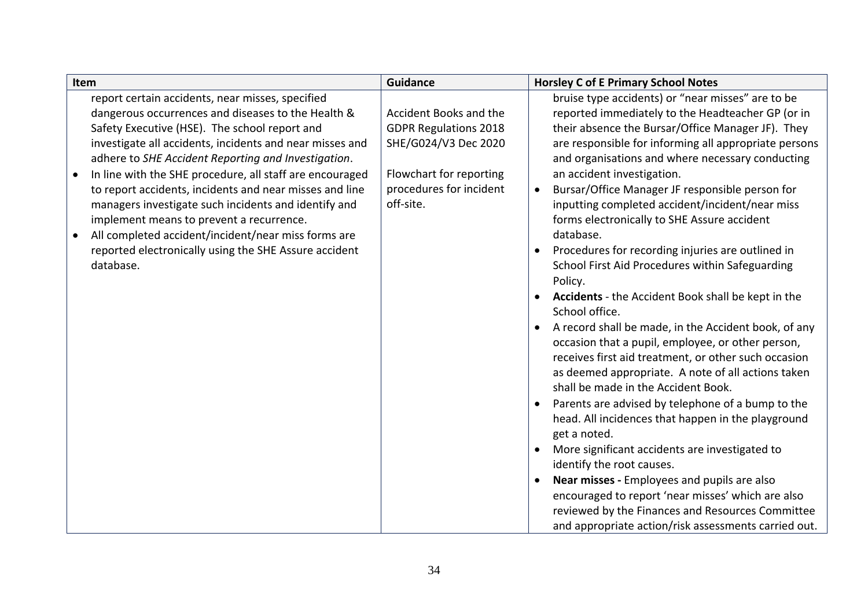| Item                                                                                                                                                                                                                                                                                                                                                                                              | <b>Guidance</b>                                                                                                                      | <b>Horsley C of E Primary School Notes</b>                                                                                                                                                                                                                                                                                                                                                                                            |
|---------------------------------------------------------------------------------------------------------------------------------------------------------------------------------------------------------------------------------------------------------------------------------------------------------------------------------------------------------------------------------------------------|--------------------------------------------------------------------------------------------------------------------------------------|---------------------------------------------------------------------------------------------------------------------------------------------------------------------------------------------------------------------------------------------------------------------------------------------------------------------------------------------------------------------------------------------------------------------------------------|
| report certain accidents, near misses, specified<br>dangerous occurrences and diseases to the Health &<br>Safety Executive (HSE). The school report and<br>investigate all accidents, incidents and near misses and<br>adhere to SHE Accident Reporting and Investigation.<br>In line with the SHE procedure, all staff are encouraged<br>to report accidents, incidents and near misses and line | Accident Books and the<br><b>GDPR Regulations 2018</b><br>SHE/G024/V3 Dec 2020<br>Flowchart for reporting<br>procedures for incident | bruise type accidents) or "near misses" are to be<br>reported immediately to the Headteacher GP (or in<br>their absence the Bursar/Office Manager JF). They<br>are responsible for informing all appropriate persons<br>and organisations and where necessary conducting<br>an accident investigation.<br>Bursar/Office Manager JF responsible person for<br>$\bullet$                                                                |
| managers investigate such incidents and identify and<br>implement means to prevent a recurrence.<br>All completed accident/incident/near miss forms are<br>reported electronically using the SHE Assure accident<br>database.                                                                                                                                                                     | off-site.                                                                                                                            | inputting completed accident/incident/near miss<br>forms electronically to SHE Assure accident<br>database.<br>Procedures for recording injuries are outlined in<br>$\bullet$<br>School First Aid Procedures within Safeguarding<br>Policy.<br><b>Accidents</b> - the Accident Book shall be kept in the<br>$\bullet$                                                                                                                 |
|                                                                                                                                                                                                                                                                                                                                                                                                   |                                                                                                                                      | School office.<br>A record shall be made, in the Accident book, of any<br>$\bullet$<br>occasion that a pupil, employee, or other person,<br>receives first aid treatment, or other such occasion<br>as deemed appropriate. A note of all actions taken<br>shall be made in the Accident Book.<br>Parents are advised by telephone of a bump to the<br>$\bullet$<br>head. All incidences that happen in the playground<br>get a noted. |
|                                                                                                                                                                                                                                                                                                                                                                                                   |                                                                                                                                      | More significant accidents are investigated to<br>$\bullet$<br>identify the root causes.<br>Near misses - Employees and pupils are also<br>$\bullet$<br>encouraged to report 'near misses' which are also<br>reviewed by the Finances and Resources Committee<br>and appropriate action/risk assessments carried out.                                                                                                                 |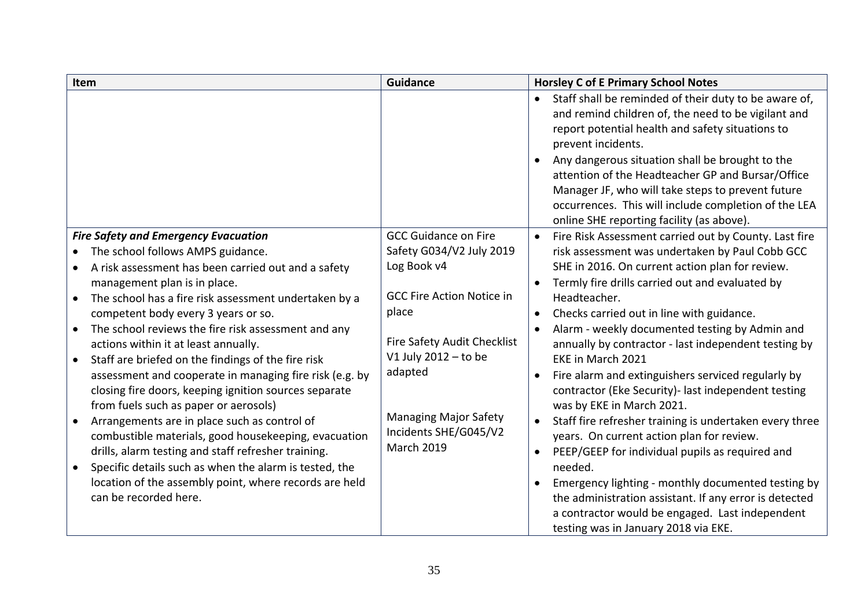<span id="page-34-0"></span>

| Item                                                                                                                                                                                                                                                                                                                                                                                                                                                                                                                                                                                                                                                                                                                                                                                                                                                                                                                                                      | <b>Guidance</b>                                                                                                                                                                                                                                              | <b>Horsley C of E Primary School Notes</b>                                                                                                                                                                                                                                                                                                                                                                                                                                                                                                                                                                                                                                                                                                                                                                                                                                                                                                                                                                                       |
|-----------------------------------------------------------------------------------------------------------------------------------------------------------------------------------------------------------------------------------------------------------------------------------------------------------------------------------------------------------------------------------------------------------------------------------------------------------------------------------------------------------------------------------------------------------------------------------------------------------------------------------------------------------------------------------------------------------------------------------------------------------------------------------------------------------------------------------------------------------------------------------------------------------------------------------------------------------|--------------------------------------------------------------------------------------------------------------------------------------------------------------------------------------------------------------------------------------------------------------|----------------------------------------------------------------------------------------------------------------------------------------------------------------------------------------------------------------------------------------------------------------------------------------------------------------------------------------------------------------------------------------------------------------------------------------------------------------------------------------------------------------------------------------------------------------------------------------------------------------------------------------------------------------------------------------------------------------------------------------------------------------------------------------------------------------------------------------------------------------------------------------------------------------------------------------------------------------------------------------------------------------------------------|
|                                                                                                                                                                                                                                                                                                                                                                                                                                                                                                                                                                                                                                                                                                                                                                                                                                                                                                                                                           |                                                                                                                                                                                                                                                              | Staff shall be reminded of their duty to be aware of,<br>and remind children of, the need to be vigilant and<br>report potential health and safety situations to<br>prevent incidents.<br>Any dangerous situation shall be brought to the<br>$\bullet$<br>attention of the Headteacher GP and Bursar/Office<br>Manager JF, who will take steps to prevent future<br>occurrences. This will include completion of the LEA<br>online SHE reporting facility (as above).                                                                                                                                                                                                                                                                                                                                                                                                                                                                                                                                                            |
| <b>Fire Safety and Emergency Evacuation</b><br>The school follows AMPS guidance.<br>$\bullet$<br>A risk assessment has been carried out and a safety<br>$\bullet$<br>management plan is in place.<br>The school has a fire risk assessment undertaken by a<br>competent body every 3 years or so.<br>The school reviews the fire risk assessment and any<br>$\bullet$<br>actions within it at least annually.<br>Staff are briefed on the findings of the fire risk<br>assessment and cooperate in managing fire risk (e.g. by<br>closing fire doors, keeping ignition sources separate<br>from fuels such as paper or aerosols)<br>Arrangements are in place such as control of<br>combustible materials, good housekeeping, evacuation<br>drills, alarm testing and staff refresher training.<br>Specific details such as when the alarm is tested, the<br>$\bullet$<br>location of the assembly point, where records are held<br>can be recorded here. | <b>GCC Guidance on Fire</b><br>Safety G034/V2 July 2019<br>Log Book v4<br><b>GCC Fire Action Notice in</b><br>place<br>Fire Safety Audit Checklist<br>V1 July 2012 - to be<br>adapted<br><b>Managing Major Safety</b><br>Incidents SHE/G045/V2<br>March 2019 | Fire Risk Assessment carried out by County. Last fire<br>$\bullet$<br>risk assessment was undertaken by Paul Cobb GCC<br>SHE in 2016. On current action plan for review.<br>Termly fire drills carried out and evaluated by<br>$\bullet$<br>Headteacher.<br>Checks carried out in line with guidance.<br>$\bullet$<br>Alarm - weekly documented testing by Admin and<br>$\bullet$<br>annually by contractor - last independent testing by<br>EKE in March 2021<br>Fire alarm and extinguishers serviced regularly by<br>$\bullet$<br>contractor (Eke Security)- last independent testing<br>was by EKE in March 2021.<br>Staff fire refresher training is undertaken every three<br>$\bullet$<br>years. On current action plan for review.<br>PEEP/GEEP for individual pupils as required and<br>$\bullet$<br>needed.<br>Emergency lighting - monthly documented testing by<br>the administration assistant. If any error is detected<br>a contractor would be engaged. Last independent<br>testing was in January 2018 via EKE. |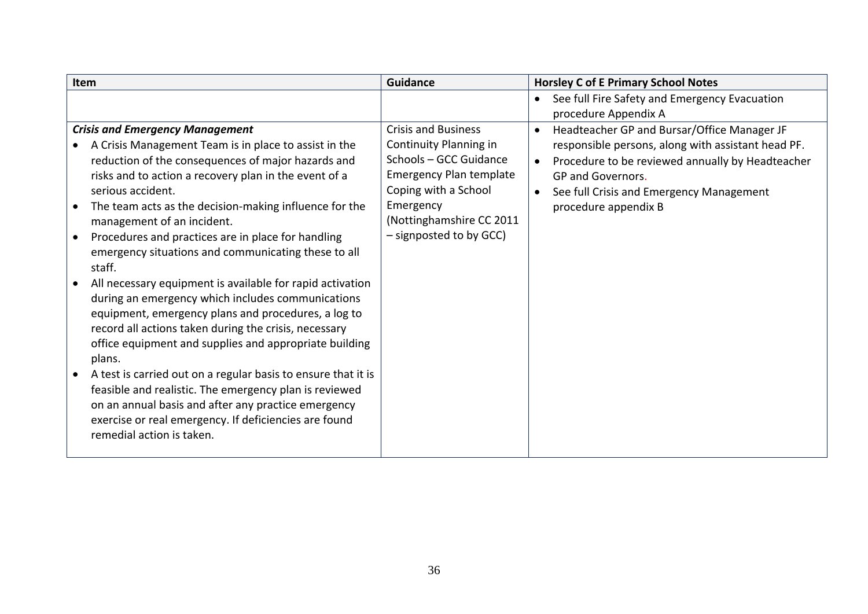<span id="page-35-0"></span>

| Item                                                          | <b>Guidance</b>                | <b>Horsley C of E Primary School Notes</b>                    |
|---------------------------------------------------------------|--------------------------------|---------------------------------------------------------------|
|                                                               |                                | See full Fire Safety and Emergency Evacuation<br>$\bullet$    |
|                                                               |                                | procedure Appendix A                                          |
| <b>Crisis and Emergency Management</b>                        | <b>Crisis and Business</b>     | Headteacher GP and Bursar/Office Manager JF<br>$\bullet$      |
| A Crisis Management Team is in place to assist in the         | Continuity Planning in         | responsible persons, along with assistant head PF.            |
| reduction of the consequences of major hazards and            | Schools - GCC Guidance         | Procedure to be reviewed annually by Headteacher<br>$\bullet$ |
| risks and to action a recovery plan in the event of a         | <b>Emergency Plan template</b> | GP and Governors.                                             |
| serious accident.                                             | Coping with a School           | See full Crisis and Emergency Management<br>$\bullet$         |
| The team acts as the decision-making influence for the        | Emergency                      | procedure appendix B                                          |
| management of an incident.                                    | (Nottinghamshire CC 2011       |                                                               |
| Procedures and practices are in place for handling            | - signposted to by GCC)        |                                                               |
| emergency situations and communicating these to all           |                                |                                                               |
| staff.                                                        |                                |                                                               |
| All necessary equipment is available for rapid activation     |                                |                                                               |
| during an emergency which includes communications             |                                |                                                               |
| equipment, emergency plans and procedures, a log to           |                                |                                                               |
| record all actions taken during the crisis, necessary         |                                |                                                               |
| office equipment and supplies and appropriate building        |                                |                                                               |
| plans.                                                        |                                |                                                               |
| A test is carried out on a regular basis to ensure that it is |                                |                                                               |
| feasible and realistic. The emergency plan is reviewed        |                                |                                                               |
| on an annual basis and after any practice emergency           |                                |                                                               |
| exercise or real emergency. If deficiencies are found         |                                |                                                               |
| remedial action is taken.                                     |                                |                                                               |
|                                                               |                                |                                                               |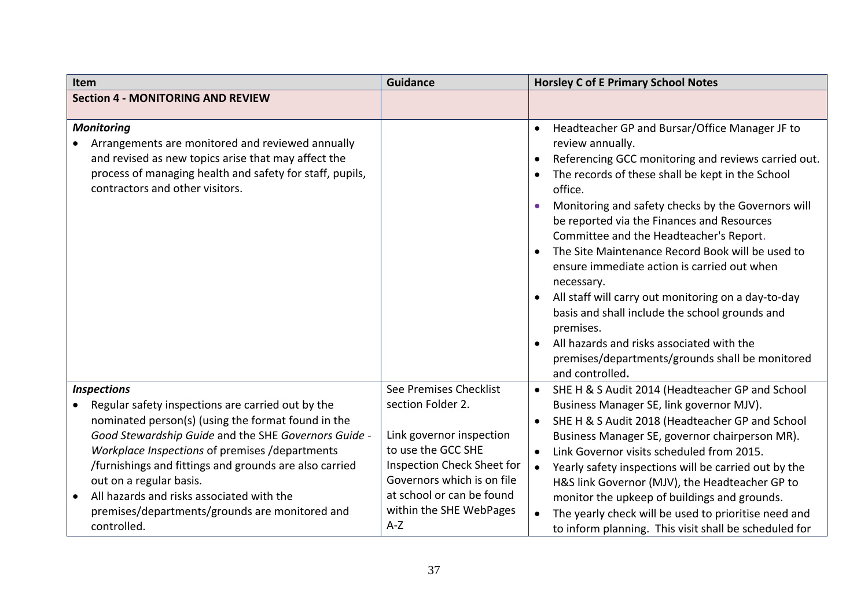<span id="page-36-2"></span><span id="page-36-1"></span><span id="page-36-0"></span>

| Item                                                                                                                                                                                                                                                                                                                         | <b>Guidance</b>                                                                                                                                           | <b>Horsley C of E Primary School Notes</b>                                                                                                                                                                                                                                                                                                                                                               |
|------------------------------------------------------------------------------------------------------------------------------------------------------------------------------------------------------------------------------------------------------------------------------------------------------------------------------|-----------------------------------------------------------------------------------------------------------------------------------------------------------|----------------------------------------------------------------------------------------------------------------------------------------------------------------------------------------------------------------------------------------------------------------------------------------------------------------------------------------------------------------------------------------------------------|
| <b>Section 4 - MONITORING AND REVIEW</b>                                                                                                                                                                                                                                                                                     |                                                                                                                                                           |                                                                                                                                                                                                                                                                                                                                                                                                          |
| <b>Monitoring</b><br>Arrangements are monitored and reviewed annually<br>and revised as new topics arise that may affect the<br>process of managing health and safety for staff, pupils,<br>contractors and other visitors.                                                                                                  |                                                                                                                                                           | Headteacher GP and Bursar/Office Manager JF to<br>review annually.<br>Referencing GCC monitoring and reviews carried out.<br>The records of these shall be kept in the School<br>office.<br>Monitoring and safety checks by the Governors will<br>$\bullet$<br>be reported via the Finances and Resources<br>Committee and the Headteacher's Report.<br>The Site Maintenance Record Book will be used to |
|                                                                                                                                                                                                                                                                                                                              |                                                                                                                                                           | ensure immediate action is carried out when<br>necessary.<br>All staff will carry out monitoring on a day-to-day<br>basis and shall include the school grounds and<br>premises.<br>All hazards and risks associated with the<br>$\bullet$<br>premises/departments/grounds shall be monitored<br>and controlled.                                                                                          |
| <b>Inspections</b><br>Regular safety inspections are carried out by the<br>nominated person(s) (using the format found in the<br>Good Stewardship Guide and the SHE Governors Guide -<br>Workplace Inspections of premises /departments<br>/furnishings and fittings and grounds are also carried<br>out on a regular basis. | See Premises Checklist<br>section Folder 2.<br>Link governor inspection<br>to use the GCC SHE<br>Inspection Check Sheet for<br>Governors which is on file | SHE H & S Audit 2014 (Headteacher GP and School<br>$\bullet$<br>Business Manager SE, link governor MJV).<br>SHE H & S Audit 2018 (Headteacher GP and School<br>Business Manager SE, governor chairperson MR).<br>Link Governor visits scheduled from 2015.<br>$\bullet$<br>Yearly safety inspections will be carried out by the<br>$\bullet$<br>H&S link Governor (MJV), the Headteacher GP to           |
| All hazards and risks associated with the<br>premises/departments/grounds are monitored and<br>controlled.                                                                                                                                                                                                                   | at school or can be found<br>within the SHE WebPages<br>$A-Z$                                                                                             | monitor the upkeep of buildings and grounds.<br>The yearly check will be used to prioritise need and<br>$\bullet$<br>to inform planning. This visit shall be scheduled for                                                                                                                                                                                                                               |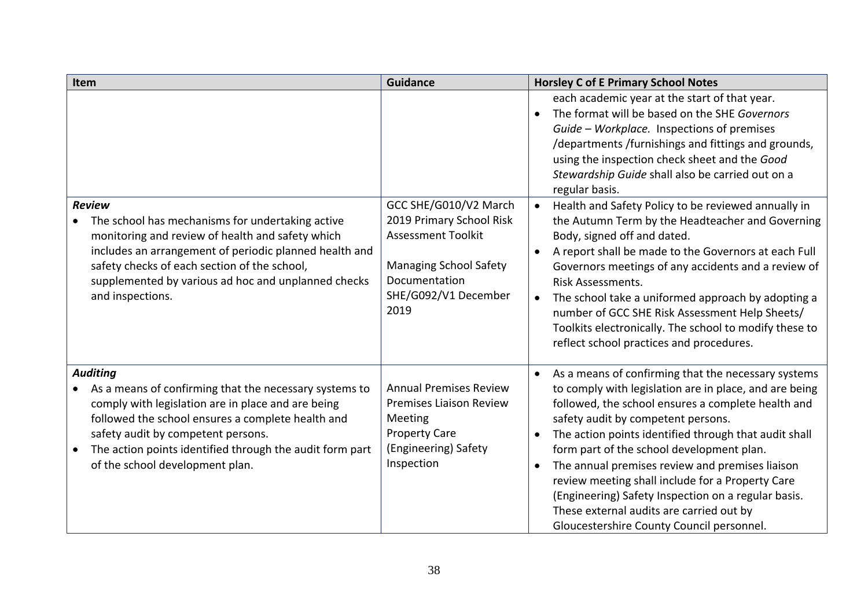<span id="page-37-1"></span><span id="page-37-0"></span>

| Item                                                                                                                                                                                                                                                                                                                      | <b>Guidance</b>                                                                                                                                                  | <b>Horsley C of E Primary School Notes</b>                                                                                                                                                                                                                                                                                                                                                                                                                                                                                                                                                       |
|---------------------------------------------------------------------------------------------------------------------------------------------------------------------------------------------------------------------------------------------------------------------------------------------------------------------------|------------------------------------------------------------------------------------------------------------------------------------------------------------------|--------------------------------------------------------------------------------------------------------------------------------------------------------------------------------------------------------------------------------------------------------------------------------------------------------------------------------------------------------------------------------------------------------------------------------------------------------------------------------------------------------------------------------------------------------------------------------------------------|
|                                                                                                                                                                                                                                                                                                                           |                                                                                                                                                                  | each academic year at the start of that year.<br>The format will be based on the SHE Governors<br>$\bullet$<br>Guide - Workplace. Inspections of premises<br>/departments/furnishings and fittings and grounds,<br>using the inspection check sheet and the Good<br>Stewardship Guide shall also be carried out on a<br>regular basis.                                                                                                                                                                                                                                                           |
| <b>Review</b><br>The school has mechanisms for undertaking active<br>monitoring and review of health and safety which<br>includes an arrangement of periodic planned health and<br>safety checks of each section of the school,<br>supplemented by various ad hoc and unplanned checks<br>and inspections.                | GCC SHE/G010/V2 March<br>2019 Primary School Risk<br><b>Assessment Toolkit</b><br><b>Managing School Safety</b><br>Documentation<br>SHE/G092/V1 December<br>2019 | Health and Safety Policy to be reviewed annually in<br>$\bullet$<br>the Autumn Term by the Headteacher and Governing<br>Body, signed off and dated.<br>A report shall be made to the Governors at each Full<br>$\bullet$<br>Governors meetings of any accidents and a review of<br>Risk Assessments.<br>The school take a uniformed approach by adopting a<br>$\bullet$<br>number of GCC SHE Risk Assessment Help Sheets/<br>Toolkits electronically. The school to modify these to<br>reflect school practices and procedures.                                                                  |
| <b>Auditing</b><br>As a means of confirming that the necessary systems to<br>comply with legislation are in place and are being<br>followed the school ensures a complete health and<br>safety audit by competent persons.<br>The action points identified through the audit form part<br>of the school development plan. | <b>Annual Premises Review</b><br><b>Premises Liaison Review</b><br>Meeting<br><b>Property Care</b><br>(Engineering) Safety<br>Inspection                         | As a means of confirming that the necessary systems<br>to comply with legislation are in place, and are being<br>followed, the school ensures a complete health and<br>safety audit by competent persons.<br>The action points identified through that audit shall<br>$\bullet$<br>form part of the school development plan.<br>The annual premises review and premises liaison<br>$\bullet$<br>review meeting shall include for a Property Care<br>(Engineering) Safety Inspection on a regular basis.<br>These external audits are carried out by<br>Gloucestershire County Council personnel. |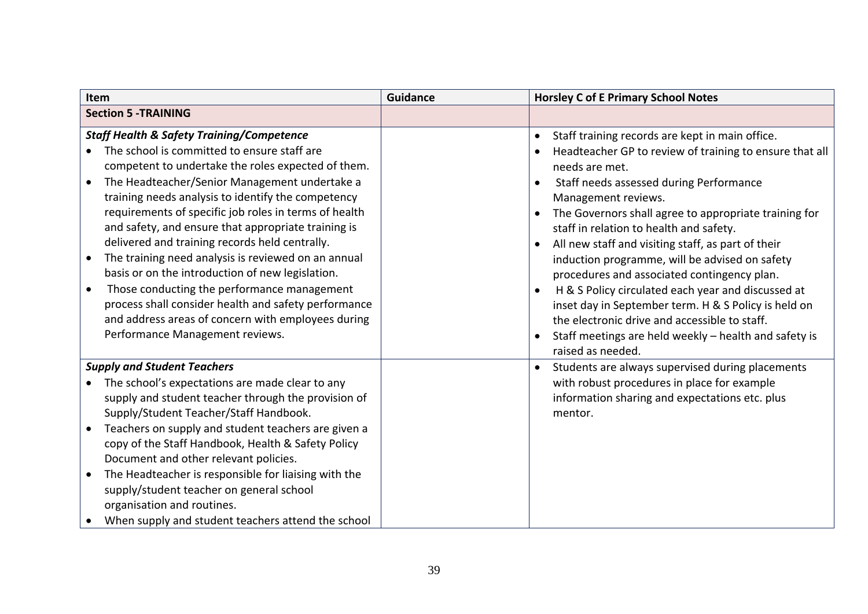<span id="page-38-2"></span><span id="page-38-1"></span><span id="page-38-0"></span>

| Item                                                                                                                                                                                                                                                                                                                                                                                                                                                                                                                                                                                                                                                                                                                                          | <b>Guidance</b> | <b>Horsley C of E Primary School Notes</b>                                                                                                                                                                                                                                                                                                                                                                                                                                                                                                                                                                                                                                                                                                                              |
|-----------------------------------------------------------------------------------------------------------------------------------------------------------------------------------------------------------------------------------------------------------------------------------------------------------------------------------------------------------------------------------------------------------------------------------------------------------------------------------------------------------------------------------------------------------------------------------------------------------------------------------------------------------------------------------------------------------------------------------------------|-----------------|-------------------------------------------------------------------------------------------------------------------------------------------------------------------------------------------------------------------------------------------------------------------------------------------------------------------------------------------------------------------------------------------------------------------------------------------------------------------------------------------------------------------------------------------------------------------------------------------------------------------------------------------------------------------------------------------------------------------------------------------------------------------------|
| <b>Section 5 -TRAINING</b>                                                                                                                                                                                                                                                                                                                                                                                                                                                                                                                                                                                                                                                                                                                    |                 |                                                                                                                                                                                                                                                                                                                                                                                                                                                                                                                                                                                                                                                                                                                                                                         |
| <b>Staff Health &amp; Safety Training/Competence</b><br>The school is committed to ensure staff are<br>competent to undertake the roles expected of them.<br>The Headteacher/Senior Management undertake a<br>training needs analysis to identify the competency<br>requirements of specific job roles in terms of health<br>and safety, and ensure that appropriate training is<br>delivered and training records held centrally.<br>The training need analysis is reviewed on an annual<br>basis or on the introduction of new legislation.<br>Those conducting the performance management<br>process shall consider health and safety performance<br>and address areas of concern with employees during<br>Performance Management reviews. |                 | Staff training records are kept in main office.<br>$\bullet$<br>Headteacher GP to review of training to ensure that all<br>needs are met.<br>Staff needs assessed during Performance<br>$\bullet$<br>Management reviews.<br>The Governors shall agree to appropriate training for<br>$\bullet$<br>staff in relation to health and safety.<br>All new staff and visiting staff, as part of their<br>induction programme, will be advised on safety<br>procedures and associated contingency plan.<br>H & S Policy circulated each year and discussed at<br>$\bullet$<br>inset day in September term. H & S Policy is held on<br>the electronic drive and accessible to staff.<br>Staff meetings are held weekly - health and safety is<br>$\bullet$<br>raised as needed. |
| <b>Supply and Student Teachers</b><br>The school's expectations are made clear to any<br>supply and student teacher through the provision of<br>Supply/Student Teacher/Staff Handbook.<br>Teachers on supply and student teachers are given a<br>copy of the Staff Handbook, Health & Safety Policy<br>Document and other relevant policies.<br>The Headteacher is responsible for liaising with the<br>supply/student teacher on general school<br>organisation and routines.<br>When supply and student teachers attend the school                                                                                                                                                                                                          |                 | Students are always supervised during placements<br>with robust procedures in place for example<br>information sharing and expectations etc. plus<br>mentor.                                                                                                                                                                                                                                                                                                                                                                                                                                                                                                                                                                                                            |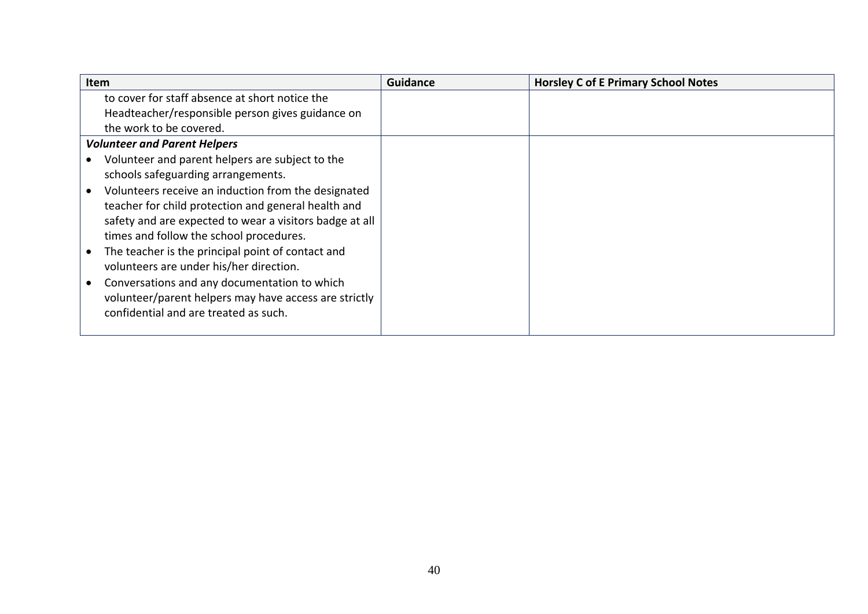<span id="page-39-0"></span>

| Item                                                    | <b>Guidance</b> | <b>Horsley C of E Primary School Notes</b> |
|---------------------------------------------------------|-----------------|--------------------------------------------|
| to cover for staff absence at short notice the          |                 |                                            |
| Headteacher/responsible person gives guidance on        |                 |                                            |
| the work to be covered.                                 |                 |                                            |
| <b>Volunteer and Parent Helpers</b>                     |                 |                                            |
| Volunteer and parent helpers are subject to the         |                 |                                            |
| schools safeguarding arrangements.                      |                 |                                            |
| Volunteers receive an induction from the designated     |                 |                                            |
| teacher for child protection and general health and     |                 |                                            |
| safety and are expected to wear a visitors badge at all |                 |                                            |
| times and follow the school procedures.                 |                 |                                            |
| The teacher is the principal point of contact and       |                 |                                            |
| volunteers are under his/her direction.                 |                 |                                            |
| Conversations and any documentation to which            |                 |                                            |
| volunteer/parent helpers may have access are strictly   |                 |                                            |
| confidential and are treated as such.                   |                 |                                            |
|                                                         |                 |                                            |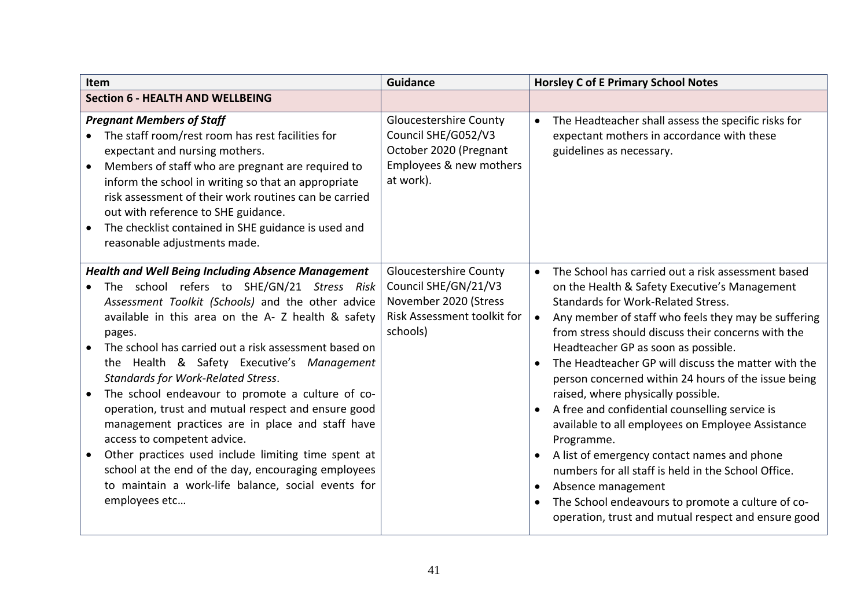<span id="page-40-2"></span><span id="page-40-1"></span><span id="page-40-0"></span>

| Item                                                                                                                                                                                                                                                                                                                                                                                                                                                                                                                                                                                                                                                                                                                                                                | <b>Guidance</b>                                                                                                           | <b>Horsley C of E Primary School Notes</b>                                                                                                                                                                                                                                                                                                                                                                                                                                                                                                                                                                                                                                                                                                                                                                                                                                      |
|---------------------------------------------------------------------------------------------------------------------------------------------------------------------------------------------------------------------------------------------------------------------------------------------------------------------------------------------------------------------------------------------------------------------------------------------------------------------------------------------------------------------------------------------------------------------------------------------------------------------------------------------------------------------------------------------------------------------------------------------------------------------|---------------------------------------------------------------------------------------------------------------------------|---------------------------------------------------------------------------------------------------------------------------------------------------------------------------------------------------------------------------------------------------------------------------------------------------------------------------------------------------------------------------------------------------------------------------------------------------------------------------------------------------------------------------------------------------------------------------------------------------------------------------------------------------------------------------------------------------------------------------------------------------------------------------------------------------------------------------------------------------------------------------------|
| <b>Section 6 - HEALTH AND WELLBEING</b>                                                                                                                                                                                                                                                                                                                                                                                                                                                                                                                                                                                                                                                                                                                             |                                                                                                                           |                                                                                                                                                                                                                                                                                                                                                                                                                                                                                                                                                                                                                                                                                                                                                                                                                                                                                 |
| <b>Pregnant Members of Staff</b><br>The staff room/rest room has rest facilities for<br>expectant and nursing mothers.<br>Members of staff who are pregnant are required to<br>inform the school in writing so that an appropriate<br>risk assessment of their work routines can be carried<br>out with reference to SHE guidance.<br>The checklist contained in SHE guidance is used and<br>reasonable adjustments made.                                                                                                                                                                                                                                                                                                                                           | <b>Gloucestershire County</b><br>Council SHE/G052/V3<br>October 2020 (Pregnant<br>Employees & new mothers<br>at work).    | The Headteacher shall assess the specific risks for<br>$\bullet$<br>expectant mothers in accordance with these<br>guidelines as necessary.                                                                                                                                                                                                                                                                                                                                                                                                                                                                                                                                                                                                                                                                                                                                      |
| <b>Health and Well Being Including Absence Management</b><br>The school refers to SHE/GN/21 Stress Risk<br>Assessment Toolkit (Schools) and the other advice<br>available in this area on the A- Z health & safety<br>pages.<br>The school has carried out a risk assessment based on<br>the Health & Safety Executive's Management<br><b>Standards for Work-Related Stress.</b><br>The school endeavour to promote a culture of co-<br>operation, trust and mutual respect and ensure good<br>management practices are in place and staff have<br>access to competent advice.<br>Other practices used include limiting time spent at<br>school at the end of the day, encouraging employees<br>to maintain a work-life balance, social events for<br>employees etc | <b>Gloucestershire County</b><br>Council SHE/GN/21/V3<br>November 2020 (Stress<br>Risk Assessment toolkit for<br>schools) | The School has carried out a risk assessment based<br>$\bullet$<br>on the Health & Safety Executive's Management<br>Standards for Work-Related Stress.<br>Any member of staff who feels they may be suffering<br>$\bullet$<br>from stress should discuss their concerns with the<br>Headteacher GP as soon as possible.<br>The Headteacher GP will discuss the matter with the<br>person concerned within 24 hours of the issue being<br>raised, where physically possible.<br>A free and confidential counselling service is<br>$\bullet$<br>available to all employees on Employee Assistance<br>Programme.<br>A list of emergency contact names and phone<br>$\bullet$<br>numbers for all staff is held in the School Office.<br>Absence management<br>The School endeavours to promote a culture of co-<br>$\bullet$<br>operation, trust and mutual respect and ensure good |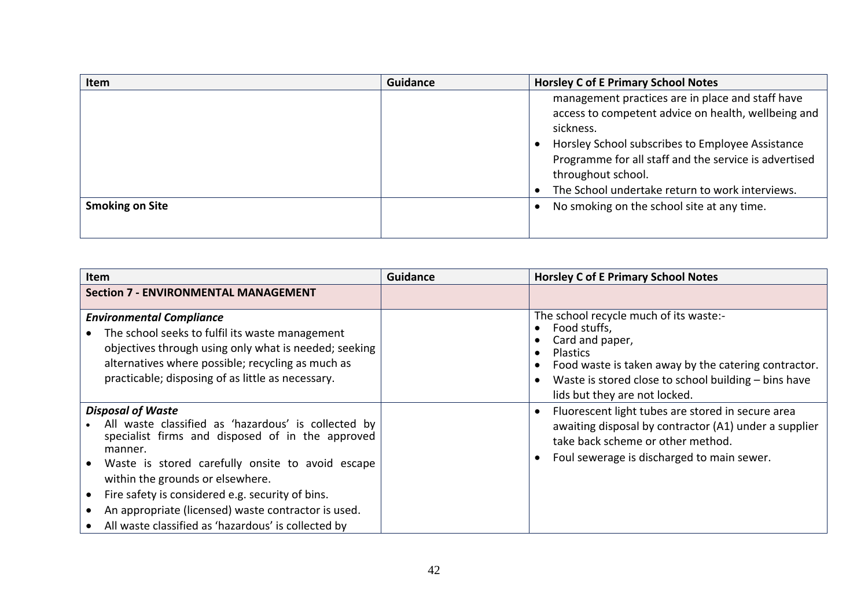| Item                   | <b>Guidance</b> | <b>Horsley C of E Primary School Notes</b>                                                                                                                                                                                                                                                                 |
|------------------------|-----------------|------------------------------------------------------------------------------------------------------------------------------------------------------------------------------------------------------------------------------------------------------------------------------------------------------------|
|                        |                 | management practices are in place and staff have<br>access to competent advice on health, wellbeing and<br>sickness.<br>Horsley School subscribes to Employee Assistance<br>Programme for all staff and the service is advertised<br>throughout school.<br>The School undertake return to work interviews. |
| <b>Smoking on Site</b> |                 | No smoking on the school site at any time.                                                                                                                                                                                                                                                                 |

<span id="page-41-3"></span><span id="page-41-2"></span><span id="page-41-1"></span><span id="page-41-0"></span>

| Item                                                                                                                                                                                                                                                                                                                                                                                                     | <b>Guidance</b> | <b>Horsley C of E Primary School Notes</b>                                                                                                                                                                                                    |
|----------------------------------------------------------------------------------------------------------------------------------------------------------------------------------------------------------------------------------------------------------------------------------------------------------------------------------------------------------------------------------------------------------|-----------------|-----------------------------------------------------------------------------------------------------------------------------------------------------------------------------------------------------------------------------------------------|
| <b>Section 7 - ENVIRONMENTAL MANAGEMENT</b>                                                                                                                                                                                                                                                                                                                                                              |                 |                                                                                                                                                                                                                                               |
| <b>Environmental Compliance</b><br>The school seeks to fulfil its waste management<br>objectives through using only what is needed; seeking<br>alternatives where possible; recycling as much as<br>practicable; disposing of as little as necessary.                                                                                                                                                    |                 | The school recycle much of its waste:-<br>Food stuffs,<br>Card and paper,<br><b>Plastics</b><br>Food waste is taken away by the catering contractor.<br>Waste is stored close to school building - bins have<br>lids but they are not locked. |
| <b>Disposal of Waste</b><br>All waste classified as 'hazardous' is collected by<br>specialist firms and disposed of in the approved<br>manner.<br>Waste is stored carefully onsite to avoid escape<br>within the grounds or elsewhere.<br>Fire safety is considered e.g. security of bins.<br>An appropriate (licensed) waste contractor is used.<br>All waste classified as 'hazardous' is collected by |                 | Fluorescent light tubes are stored in secure area<br>awaiting disposal by contractor (A1) under a supplier<br>take back scheme or other method.<br>Foul sewerage is discharged to main sewer.                                                 |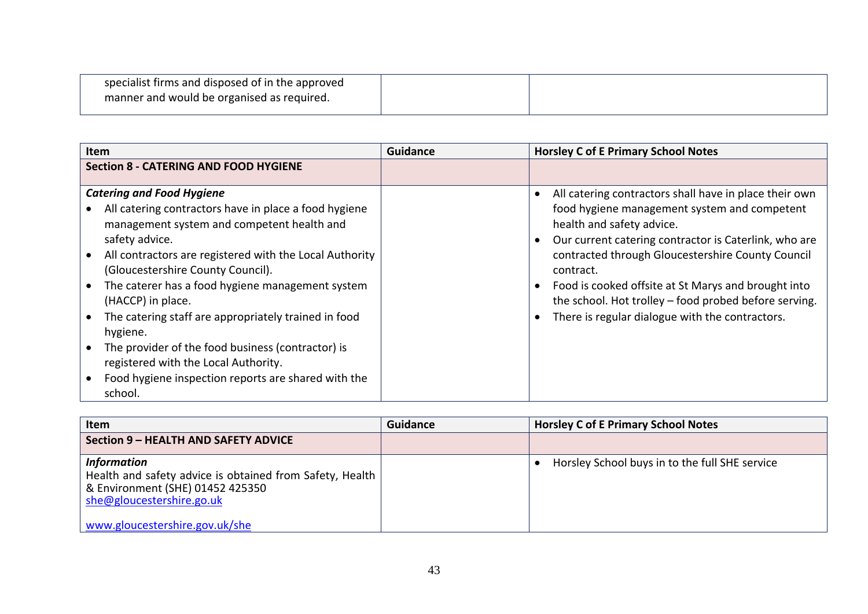| specialist firms and disposed of in the approved |  |
|--------------------------------------------------|--|
| manner and would be organised as required.       |  |
|                                                  |  |

| <b>Section 8 - CATERING AND FOOD HYGIENE</b><br><b>Catering and Food Hygiene</b><br>All catering contractors have in place a food hygiene<br>management system and competent health and<br>health and safety advice.<br>safety advice.<br>All contractors are registered with the Local Authority<br>(Gloucestershire County Council).<br>contract.<br>The caterer has a food hygiene management system<br>(HACCP) in place.<br>The catering staff are appropriately trained in food | <b>Guidance</b><br>Item | <b>Horsley C of E Primary School Notes</b>                                                                                                                      |
|--------------------------------------------------------------------------------------------------------------------------------------------------------------------------------------------------------------------------------------------------------------------------------------------------------------------------------------------------------------------------------------------------------------------------------------------------------------------------------------|-------------------------|-----------------------------------------------------------------------------------------------------------------------------------------------------------------|
|                                                                                                                                                                                                                                                                                                                                                                                                                                                                                      |                         |                                                                                                                                                                 |
|                                                                                                                                                                                                                                                                                                                                                                                                                                                                                      |                         | All catering contractors shall have in place their own<br>food hygiene management system and competent<br>Our current catering contractor is Caterlink, who are |
|                                                                                                                                                                                                                                                                                                                                                                                                                                                                                      |                         | contracted through Gloucestershire County Council<br>Food is cooked offsite at St Marys and brought into                                                        |
| hygiene.                                                                                                                                                                                                                                                                                                                                                                                                                                                                             |                         | the school. Hot trolley - food probed before serving.<br>There is regular dialogue with the contractors.                                                        |
| The provider of the food business (contractor) is<br>registered with the Local Authority.<br>Food hygiene inspection reports are shared with the<br>school.                                                                                                                                                                                                                                                                                                                          |                         |                                                                                                                                                                 |

<span id="page-42-3"></span><span id="page-42-2"></span><span id="page-42-1"></span><span id="page-42-0"></span>

| Item                                                                                                                                                                              | <b>Guidance</b> | <b>Horsley C of E Primary School Notes</b>     |
|-----------------------------------------------------------------------------------------------------------------------------------------------------------------------------------|-----------------|------------------------------------------------|
| Section 9 – HEALTH AND SAFETY ADVICE                                                                                                                                              |                 |                                                |
| <b>Information</b><br>Health and safety advice is obtained from Safety, Health<br>& Environment (SHE) 01452 425350<br>she@gloucestershire.go.uk<br>www.gloucestershire.gov.uk/she |                 | Horsley School buys in to the full SHE service |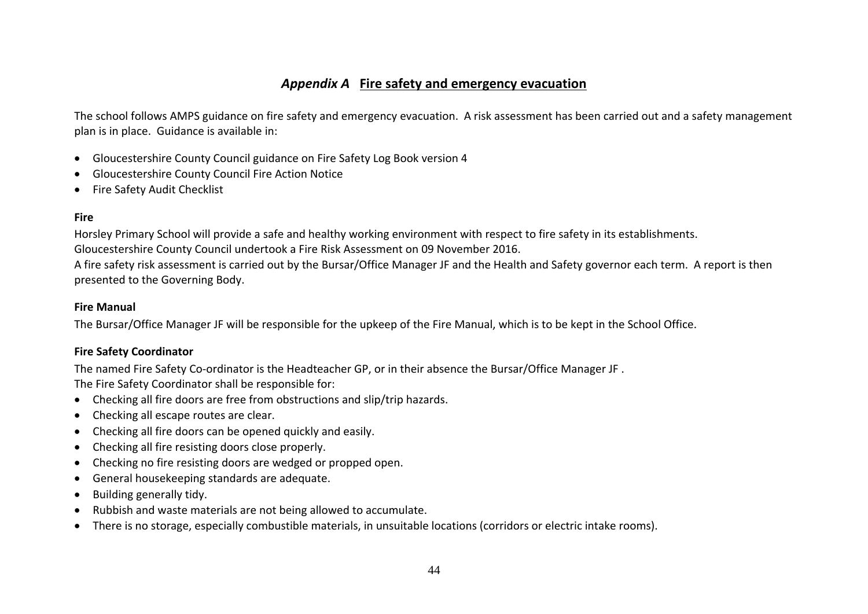## *Appendix A* **Fire safety and emergency evacuation**

The school follows AMPS guidance on fire safety and emergency evacuation. A risk assessment has been carried out and a safety management plan is in place. Guidance is available in:

- Gloucestershire County Council guidance on Fire Safety Log Book version 4
- Gloucestershire County Council Fire Action Notice
- Fire Safety Audit Checklist

#### **Fire**

Horsley Primary School will provide a safe and healthy working environment with respect to fire safety in its establishments. Gloucestershire County Council undertook a Fire Risk Assessment on 09 November 2016. A fire safety risk assessment is carried out by the Bursar/Office Manager JF and the Health and Safety governor each term. A report is then presented to the Governing Body.

#### **Fire Manual**

The Bursar/Office Manager JF will be responsible for the upkeep of the Fire Manual, which is to be kept in the School Office.

#### **Fire Safety Coordinator**

The named Fire Safety Co-ordinator is the Headteacher GP, or in their absence the Bursar/Office Manager JF .

The Fire Safety Coordinator shall be responsible for:

- Checking all fire doors are free from obstructions and slip/trip hazards.
- Checking all escape routes are clear.
- Checking all fire doors can be opened quickly and easily.
- Checking all fire resisting doors close properly.
- Checking no fire resisting doors are wedged or propped open.
- General housekeeping standards are adequate.
- Building generally tidy.
- Rubbish and waste materials are not being allowed to accumulate.
- There is no storage, especially combustible materials, in unsuitable locations (corridors or electric intake rooms).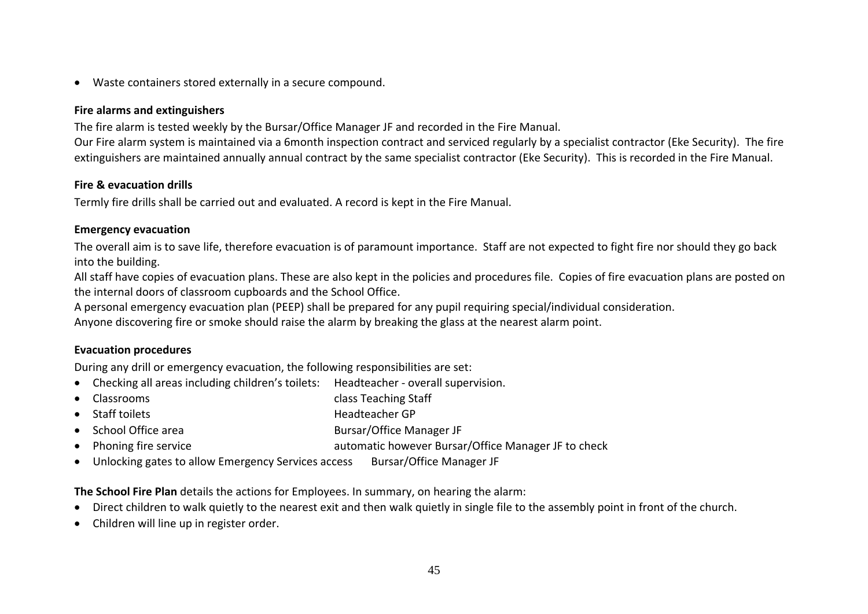Waste containers stored externally in a secure compound.

#### **Fire alarms and extinguishers**

The fire alarm is tested weekly by the Bursar/Office Manager JF and recorded in the Fire Manual.

Our Fire alarm system is maintained via a 6month inspection contract and serviced regularly by a specialist contractor (Eke Security). The fire extinguishers are maintained annually annual contract by the same specialist contractor (Eke Security). This is recorded in the Fire Manual.

#### **Fire & evacuation drills**

Termly fire drills shall be carried out and evaluated. A record is kept in the Fire Manual.

#### **Emergency evacuation**

The overall aim is to save life, therefore evacuation is of paramount importance. Staff are not expected to fight fire nor should they go back into the building.

All staff have copies of evacuation plans. These are also kept in the policies and procedures file. Copies of fire evacuation plans are posted on the internal doors of classroom cupboards and the School Office.

A personal emergency evacuation plan (PEEP) shall be prepared for any pupil requiring special/individual consideration.

Anyone discovering fire or smoke should raise the alarm by breaking the glass at the nearest alarm point.

#### **Evacuation procedures**

During any drill or emergency evacuation, the following responsibilities are set:

- Checking all areas including children's toilets: Headteacher overall supervision.
- Classrooms class Teaching Staff
- Staff toilets **Headteacher GP**
- School Office area **Bursar/Office Manager JF**
- Phoning fire service **automatic however Bursar/Office Manager JF** to check
- Unlocking gates to allow Emergency Services access Bursar/Office Manager JF

**The School Fire Plan** details the actions for Employees. In summary, on hearing the alarm:

- Direct children to walk quietly to the nearest exit and then walk quietly in single file to the assembly point in front of the church.
- Children will line up in register order.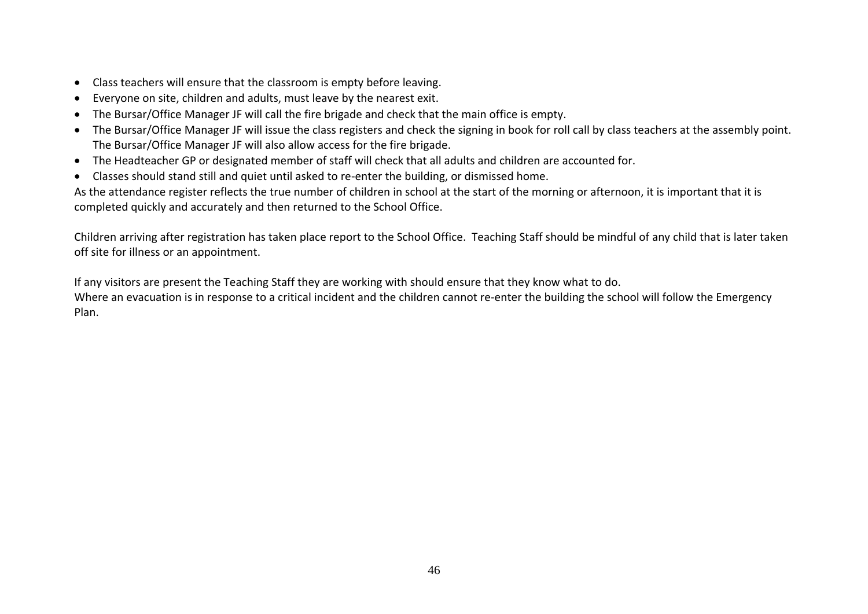- Class teachers will ensure that the classroom is empty before leaving.
- Everyone on site, children and adults, must leave by the nearest exit.
- The Bursar/Office Manager JF will call the fire brigade and check that the main office is empty.
- The Bursar/Office Manager JF will issue the class registers and check the signing in book for roll call by class teachers at the assembly point. The Bursar/Office Manager JF will also allow access for the fire brigade.
- The Headteacher GP or designated member of staff will check that all adults and children are accounted for.
- Classes should stand still and quiet until asked to re-enter the building, or dismissed home.

As the attendance register reflects the true number of children in school at the start of the morning or afternoon, it is important that it is completed quickly and accurately and then returned to the School Office.

Children arriving after registration has taken place report to the School Office. Teaching Staff should be mindful of any child that is later taken off site for illness or an appointment.

If any visitors are present the Teaching Staff they are working with should ensure that they know what to do.

Where an evacuation is in response to a critical incident and the children cannot re-enter the building the school will follow the Emergency Plan.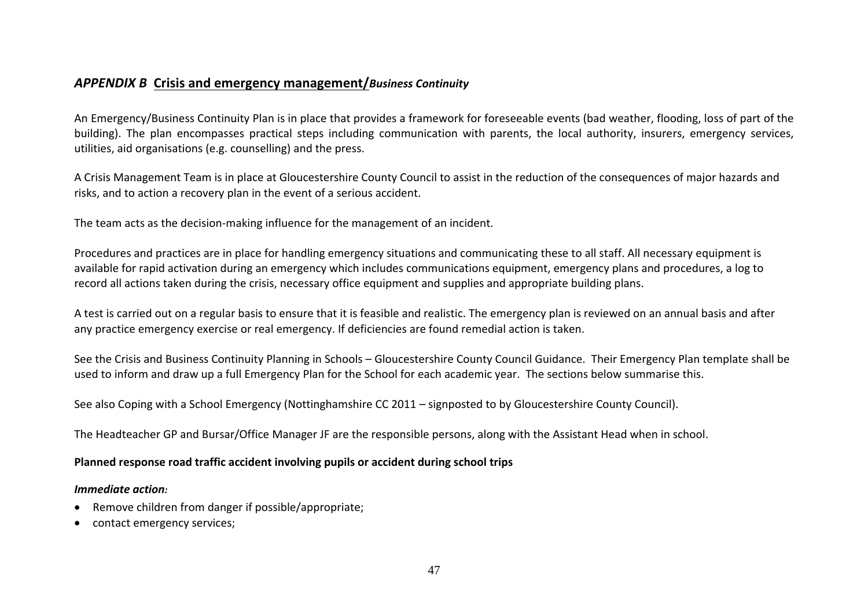#### *APPENDIX B* **Crisis and emergency management/***Business Continuity*

An Emergency/Business Continuity Plan is in place that provides a framework for foreseeable events (bad weather, flooding, loss of part of the building). The plan encompasses practical steps including communication with parents, the local authority, insurers, emergency services, utilities, aid organisations (e.g. counselling) and the press.

A Crisis Management Team is in place at Gloucestershire County Council to assist in the reduction of the consequences of major hazards and risks, and to action a recovery plan in the event of a serious accident.

The team acts as the decision-making influence for the management of an incident.

Procedures and practices are in place for handling emergency situations and communicating these to all staff. All necessary equipment is available for rapid activation during an emergency which includes communications equipment, emergency plans and procedures, a log to record all actions taken during the crisis, necessary office equipment and supplies and appropriate building plans.

A test is carried out on a regular basis to ensure that it is feasible and realistic. The emergency plan is reviewed on an annual basis and after any practice emergency exercise or real emergency. If deficiencies are found remedial action is taken.

See the Crisis and Business Continuity Planning in Schools – Gloucestershire County Council Guidance. Their Emergency Plan template shall be used to inform and draw up a full Emergency Plan for the School for each academic year. The sections below summarise this.

See also Coping with a School Emergency (Nottinghamshire CC 2011 – signposted to by Gloucestershire County Council).

The Headteacher GP and Bursar/Office Manager JF are the responsible persons, along with the Assistant Head when in school.

#### **Planned response road traffic accident involving pupils or accident during school trips**

#### *Immediate action:*

- Remove children from danger if possible/appropriate;
- contact emergency services;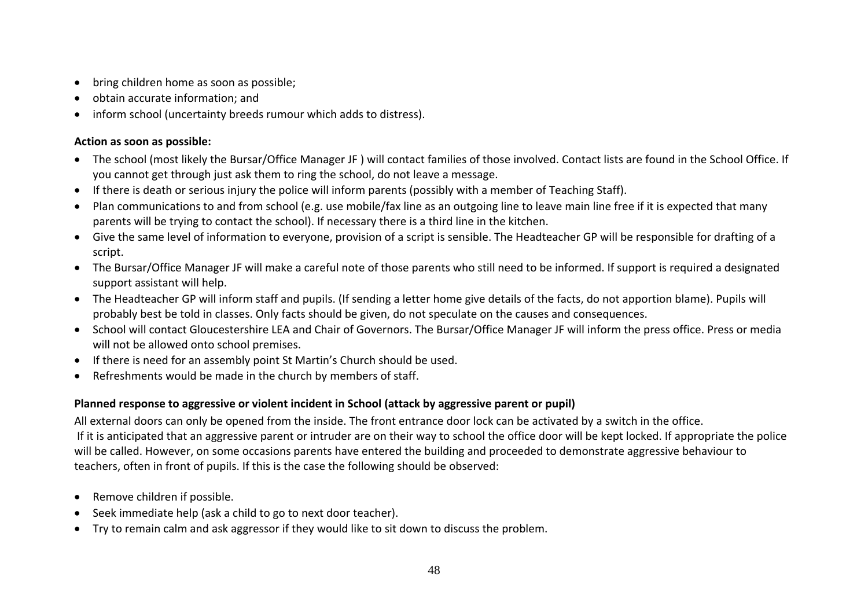- bring children home as soon as possible;
- obtain accurate information; and
- inform school (uncertainty breeds rumour which adds to distress).

#### **Action as soon as possible:**

- The school (most likely the Bursar/Office Manager JF ) will contact families of those involved. Contact lists are found in the School Office. If you cannot get through just ask them to ring the school, do not leave a message.
- If there is death or serious injury the police will inform parents (possibly with a member of Teaching Staff).
- Plan communications to and from school (e.g. use mobile/fax line as an outgoing line to leave main line free if it is expected that many parents will be trying to contact the school). If necessary there is a third line in the kitchen.
- Give the same level of information to everyone, provision of a script is sensible. The Headteacher GP will be responsible for drafting of a script.
- The Bursar/Office Manager JF will make a careful note of those parents who still need to be informed. If support is required a designated support assistant will help.
- The Headteacher GP will inform staff and pupils. (If sending a letter home give details of the facts, do not apportion blame). Pupils will probably best be told in classes. Only facts should be given, do not speculate on the causes and consequences.
- School will contact Gloucestershire LEA and Chair of Governors. The Bursar/Office Manager JF will inform the press office. Press or media will not be allowed onto school premises.
- If there is need for an assembly point St Martin's Church should be used.
- Refreshments would be made in the church by members of staff.

#### **Planned response to aggressive or violent incident in School (attack by aggressive parent or pupil)**

All external doors can only be opened from the inside. The front entrance door lock can be activated by a switch in the office. If it is anticipated that an aggressive parent or intruder are on their way to school the office door will be kept locked. If appropriate the police will be called. However, on some occasions parents have entered the building and proceeded to demonstrate aggressive behaviour to teachers, often in front of pupils. If this is the case the following should be observed:

- Remove children if possible.
- Seek immediate help (ask a child to go to next door teacher).
- Try to remain calm and ask aggressor if they would like to sit down to discuss the problem.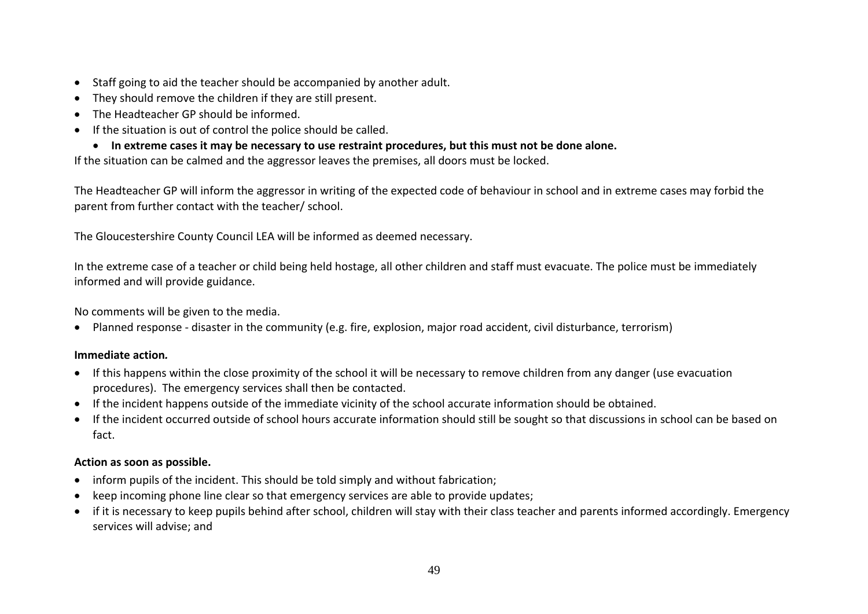- Staff going to aid the teacher should be accompanied by another adult.
- They should remove the children if they are still present.
- The Headteacher GP should be informed.
- If the situation is out of control the police should be called.
- **In extreme cases it may be necessary to use restraint procedures, but this must not be done alone.**

If the situation can be calmed and the aggressor leaves the premises, all doors must be locked.

The Headteacher GP will inform the aggressor in writing of the expected code of behaviour in school and in extreme cases may forbid the parent from further contact with the teacher/ school.

The Gloucestershire County Council LEA will be informed as deemed necessary.

In the extreme case of a teacher or child being held hostage, all other children and staff must evacuate. The police must be immediately informed and will provide guidance.

No comments will be given to the media.

Planned response - disaster in the community (e.g. fire, explosion, major road accident, civil disturbance, terrorism)

#### **Immediate action***.*

- If this happens within the close proximity of the school it will be necessary to remove children from any danger (use evacuation procedures). The emergency services shall then be contacted.
- If the incident happens outside of the immediate vicinity of the school accurate information should be obtained.
- If the incident occurred outside of school hours accurate information should still be sought so that discussions in school can be based on fact.

#### **Action as soon as possible.**

- inform pupils of the incident. This should be told simply and without fabrication;
- keep incoming phone line clear so that emergency services are able to provide updates;
- if it is necessary to keep pupils behind after school, children will stay with their class teacher and parents informed accordingly. Emergency services will advise; and